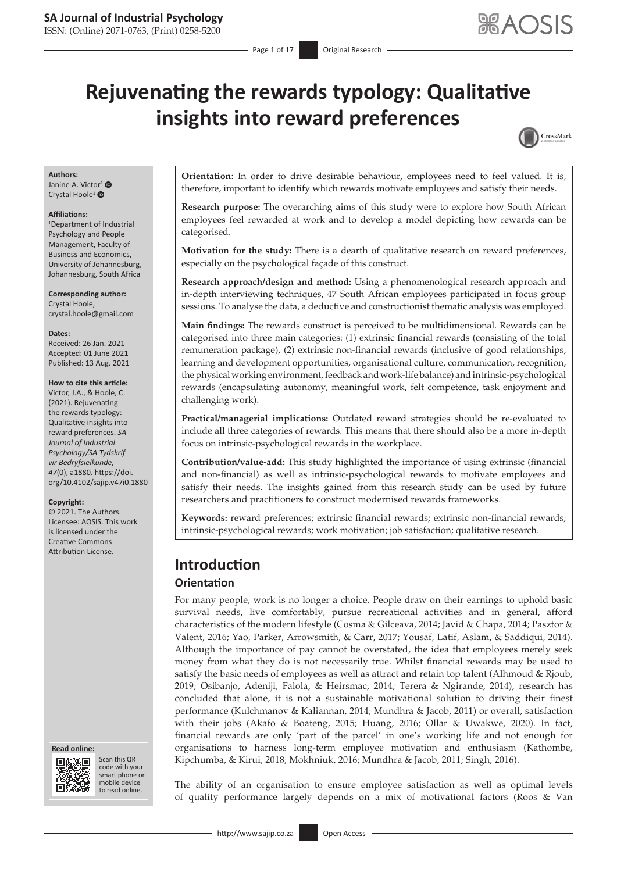ISSN: (Online) 2071-0763, (Print) 0258-5200

# **Rejuvenating the rewards typology: Qualitative insights into reward preferences**



#### **Authors:**

Janine A. Victor<sup>[1](https://orcid.org/0000-0002-1576-7584)</sup> <sup>O</sup> Crystal Hoole<sup>[1](https://orcid.org/0000-0001-6385-6744)</sup><sup>®</sup>

#### **Affiliations:**

1 Department of Industrial Psychology and People Management, Faculty of Business and Economics, University of Johannesburg, Johannesburg, South Africa

**Corresponding author:** Crystal Hoole, [crystal.hoole@gmail.com](mailto:crystal.hoole@gmail.com)

#### **Dates:**

Received: 26 Jan. 2021 Accepted: 01 June 2021 Published: 13 Aug. 2021

#### **How to cite this article:**

Victor, J.A., & Hoole, C. (2021). Rejuvenating the rewards typology: Qualitative insights into reward preferences. *SA Journal of Industrial Psychology/SA Tydskrif vir Bedryfsielkunde, 47*(0), a1880. [https://doi.](https://doi.org/10.4102/sajip.v47i0.1880) [org/10.4102/sajip.v47i0.1880](https://doi.org/10.4102/sajip.v47i0.1880)

#### **Copyright:**

© 2021. The Authors. Licensee: AOSIS. This work is licensed under the Creative Commons Attribution License.





Scan this QR code with your Scan this QR<br>code with your<br>smart phone or<br>mobile device mobile device to read online. to read online.

**Orientation**: In order to drive desirable behaviour**,** employees need to feel valued. It is, therefore, important to identify which rewards motivate employees and satisfy their needs.

**Research purpose:** The overarching aims of this study were to explore how South African employees feel rewarded at work and to develop a model depicting how rewards can be categorised.

**Motivation for the study:** There is a dearth of qualitative research on reward preferences, especially on the psychological façade of this construct.

**Research approach/design and method:** Using a phenomenological research approach and in-depth interviewing techniques, 47 South African employees participated in focus group sessions. To analyse the data, a deductive and constructionist thematic analysis was employed.

**Main findings:** The rewards construct is perceived to be multidimensional. Rewards can be categorised into three main categories: (1) extrinsic financial rewards (consisting of the total remuneration package), (2) extrinsic non-financial rewards (inclusive of good relationships, learning and development opportunities, organisational culture, communication, recognition, the physical working environment, feedback and work-life balance) and intrinsic-psychological rewards (encapsulating autonomy, meaningful work, felt competence, task enjoyment and challenging work).

**Practical/managerial implications:** Outdated reward strategies should be re-evaluated to include all three categories of rewards. This means that there should also be a more in-depth focus on intrinsic-psychological rewards in the workplace.

**Contribution/value-add:** This study highlighted the importance of using extrinsic (financial and non-financial) as well as intrinsic-psychological rewards to motivate employees and satisfy their needs. The insights gained from this research study can be used by future researchers and practitioners to construct modernised rewards frameworks.

**Keywords:** reward preferences; extrinsic financial rewards; extrinsic non-financial rewards; intrinsic-psychological rewards; work motivation; job satisfaction; qualitative research.

# **Introduction**

#### **Orientation**

For many people, work is no longer a choice. People draw on their earnings to uphold basic survival needs, live comfortably, pursue recreational activities and in general, afford characteristics of the modern lifestyle (Cosma & Gilceava, 2014; Javid & Chapa, 2014; Pasztor & Valent, 2016; Yao, Parker, Arrowsmith, & Carr, 2017; Yousaf, Latif, Aslam, & Saddiqui, 2014). Although the importance of pay cannot be overstated, the idea that employees merely seek money from what they do is not necessarily true. Whilst financial rewards may be used to satisfy the basic needs of employees as well as attract and retain top talent (Alhmoud & Rjoub, 2019; Osibanjo, Adeniji, Falola, & Heirsmac, 2014; Terera & Ngirande, 2014), research has concluded that alone, it is not a sustainable motivational solution to driving their finest performance (Kulchmanov & Kaliannan, 2014; Mundhra & Jacob, 2011) or overall, satisfaction with their jobs (Akafo & Boateng, 2015; Huang, 2016; Ollar & Uwakwe, 2020). In fact, financial rewards are only 'part of the parcel' in one's working life and not enough for organisations to harness long-term employee motivation and enthusiasm (Kathombe, Kipchumba, & Kirui, 2018; Mokhniuk, 2016; Mundhra & Jacob, 2011; Singh, 2016).

The ability of an organisation to ensure employee satisfaction as well as optimal levels of quality performance largely depends on a mix of motivational factors (Roos & Van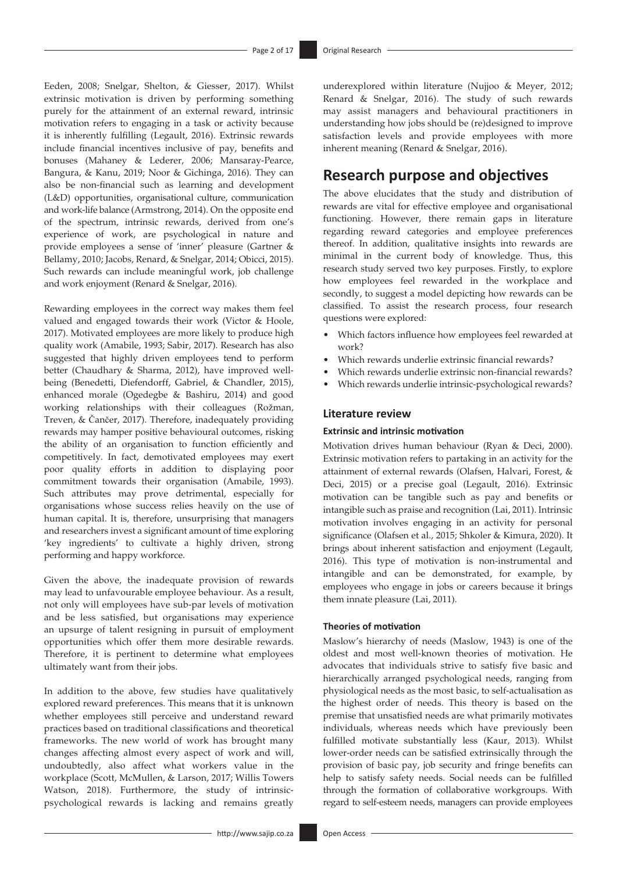Eeden, 2008; Snelgar, Shelton, & Giesser, 2017). Whilst extrinsic motivation is driven by performing something purely for the attainment of an external reward, intrinsic motivation refers to engaging in a task or activity because it is inherently fulfilling (Legault, 2016). Extrinsic rewards include financial incentives inclusive of pay, benefits and bonuses (Mahaney & Lederer, 2006; Mansaray-Pearce, Bangura, & Kanu, 2019; Noor & Gichinga, 2016). They can also be non-financial such as learning and development (L&D) opportunities, organisational culture, communication and work-life balance (Armstrong, 2014). On the opposite end of the spectrum, intrinsic rewards, derived from one's experience of work, are psychological in nature and provide employees a sense of 'inner' pleasure (Gartner & Bellamy, 2010; Jacobs, Renard, & Snelgar, 2014; Obicci, 2015). Such rewards can include meaningful work, job challenge and work enjoyment (Renard & Snelgar, 2016).

Rewarding employees in the correct way makes them feel valued and engaged towards their work (Victor & Hoole, 2017). Motivated employees are more likely to produce high quality work (Amabile, 1993; Sabir, 2017). Research has also suggested that highly driven employees tend to perform better (Chaudhary & Sharma, 2012), have improved wellbeing (Benedetti, Diefendorff, Gabriel, & Chandler, 2015), enhanced morale (Ogedegbe & Bashiru, 2014) and good working relationships with their colleagues (Rožman, Treven, & Čančer, 2017). Therefore, inadequately providing rewards may hamper positive behavioural outcomes, risking the ability of an organisation to function efficiently and competitively. In fact, demotivated employees may exert poor quality efforts in addition to displaying poor commitment towards their organisation (Amabile, 1993). Such attributes may prove detrimental, especially for organisations whose success relies heavily on the use of human capital. It is, therefore, unsurprising that managers and researchers invest a significant amount of time exploring 'key ingredients' to cultivate a highly driven, strong performing and happy workforce.

Given the above, the inadequate provision of rewards may lead to unfavourable employee behaviour. As a result, not only will employees have sub-par levels of motivation and be less satisfied, but organisations may experience an upsurge of talent resigning in pursuit of employment opportunities which offer them more desirable rewards. Therefore, it is pertinent to determine what employees ultimately want from their jobs.

In addition to the above, few studies have qualitatively explored reward preferences. This means that it is unknown whether employees still perceive and understand reward practices based on traditional classifications and theoretical frameworks. The new world of work has brought many changes affecting almost every aspect of work and will, undoubtedly, also affect what workers value in the workplace (Scott, McMullen, & Larson, 2017; Willis Towers Watson, 2018). Furthermore, the study of intrinsicpsychological rewards is lacking and remains greatly underexplored within literature (Nujjoo & Meyer, 2012; Renard & Snelgar, 2016). The study of such rewards may assist managers and behavioural practitioners in understanding how jobs should be (re)designed to improve satisfaction levels and provide employees with more inherent meaning (Renard & Snelgar, 2016).

# **Research purpose and objectives**

The above elucidates that the study and distribution of rewards are vital for effective employee and organisational functioning. However, there remain gaps in literature regarding reward categories and employee preferences thereof. In addition, qualitative insights into rewards are minimal in the current body of knowledge. Thus, this research study served two key purposes. Firstly, to explore how employees feel rewarded in the workplace and secondly, to suggest a model depicting how rewards can be classified. To assist the research process, four research questions were explored:

- Which factors influence how employees feel rewarded at work?
- Which rewards underlie extrinsic financial rewards?
- Which rewards underlie extrinsic non-financial rewards?
- Which rewards underlie intrinsic-psychological rewards?

### **Literature review**

#### **Extrinsic and intrinsic motivation**

Motivation drives human behaviour (Ryan & Deci, 2000). Extrinsic motivation refers to partaking in an activity for the attainment of external rewards (Olafsen, Halvari, Forest, & Deci, 2015) or a precise goal (Legault, 2016). Extrinsic motivation can be tangible such as pay and benefits or intangible such as praise and recognition (Lai, 2011). Intrinsic motivation involves engaging in an activity for personal significance (Olafsen et al., 2015; Shkoler & Kimura, 2020). It brings about inherent satisfaction and enjoyment (Legault, 2016). This type of motivation is non-instrumental and intangible and can be demonstrated, for example, by employees who engage in jobs or careers because it brings them innate pleasure (Lai, 2011).

#### **Theories of motivation**

Maslow's hierarchy of needs (Maslow, 1943) is one of the oldest and most well-known theories of motivation. He advocates that individuals strive to satisfy five basic and hierarchically arranged psychological needs, ranging from physiological needs as the most basic, to self-actualisation as the highest order of needs. This theory is based on the premise that unsatisfied needs are what primarily motivates individuals, whereas needs which have previously been fulfilled motivate substantially less (Kaur, 2013). Whilst lower-order needs can be satisfied extrinsically through the provision of basic pay, job security and fringe benefits can help to satisfy safety needs. Social needs can be fulfilled through the formation of collaborative workgroups. With regard to self-esteem needs, managers can provide employees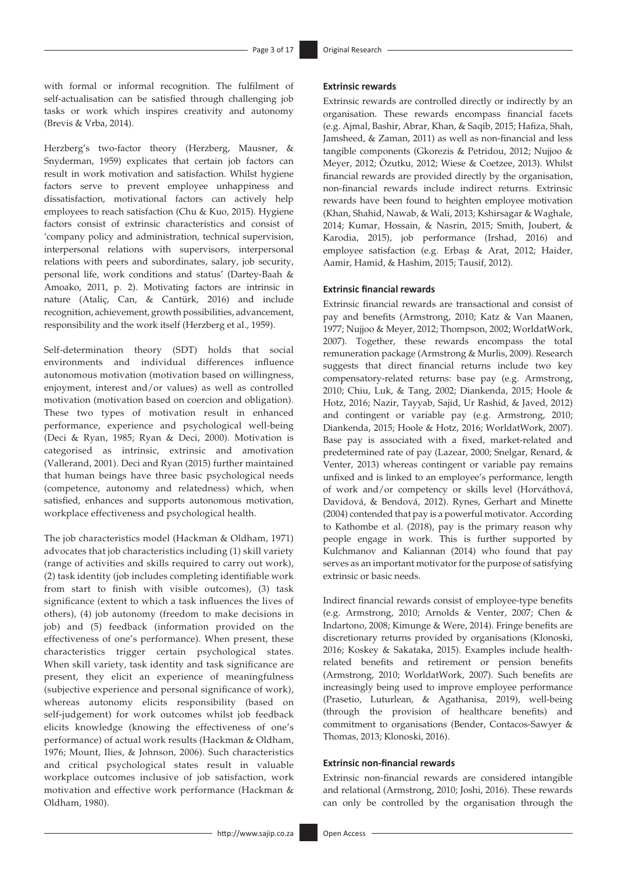with formal or informal recognition. The fulfilment of self-actualisation can be satisfied through challenging job tasks or work which inspires creativity and autonomy (Brevis & Vrba, 2014).

Herzberg's two-factor theory (Herzberg, Mausner, & Snyderman, 1959) explicates that certain job factors can result in work motivation and satisfaction. Whilst hygiene factors serve to prevent employee unhappiness and dissatisfaction, motivational factors can actively help employees to reach satisfaction (Chu & Kuo, 2015). Hygiene factors consist of extrinsic characteristics and consist of 'company policy and administration, technical supervision, interpersonal relations with supervisors, interpersonal relations with peers and subordinates, salary, job security, personal life, work conditions and status' (Dartey-Baah & Amoako, 2011, p. 2). Motivating factors are intrinsic in nature (Ataliç, Can, & Cantürk, 2016) and include recognition, achievement, growth possibilities, advancement, responsibility and the work itself (Herzberg et al., 1959).

Self-determination theory (SDT) holds that social environments and individual differences influence autonomous motivation (motivation based on willingness, enjoyment, interest and/or values) as well as controlled motivation (motivation based on coercion and obligation). These two types of motivation result in enhanced performance, experience and psychological well-being (Deci & Ryan, 1985; Ryan & Deci, 2000). Motivation is categorised as intrinsic, extrinsic and amotivation (Vallerand, 2001). Deci and Ryan (2015) further maintained that human beings have three basic psychological needs (competence, autonomy and relatedness) which, when satisfied, enhances and supports autonomous motivation, workplace effectiveness and psychological health.

The job characteristics model (Hackman & Oldham, 1971) advocates that job characteristics including (1) skill variety (range of activities and skills required to carry out work), (2) task identity (job includes completing identifiable work from start to finish with visible outcomes), (3) task significance (extent to which a task influences the lives of others), (4) job autonomy (freedom to make decisions in job) and (5) feedback (information provided on the effectiveness of one's performance). When present, these characteristics trigger certain psychological states. When skill variety, task identity and task significance are present, they elicit an experience of meaningfulness (subjective experience and personal significance of work), whereas autonomy elicits responsibility (based on self-judgement) for work outcomes whilst job feedback elicits knowledge (knowing the effectiveness of one's performance) of actual work results (Hackman & Oldham, 1976; Mount, Ilies, & Johnson, 2006). Such characteristics and critical psychological states result in valuable workplace outcomes inclusive of job satisfaction, work motivation and effective work performance (Hackman & Oldham, 1980).

#### **Extrinsic rewards**

Extrinsic rewards are controlled directly or indirectly by an organisation. These rewards encompass financial facets (e.g. Ajmal, Bashir, Abrar, Khan, & Saqib, 2015; Hafiza, Shah, Jamsheed, & Zaman, 2011) as well as non-financial and less tangible components (Gkorezis & Petridou, 2012; Nujjoo & Meyer, 2012; Özutku, 2012; Wiese & Coetzee, 2013). Whilst financial rewards are provided directly by the organisation, non-financial rewards include indirect returns. Extrinsic rewards have been found to heighten employee motivation (Khan, Shahid, Nawab, & Wali, 2013; Kshirsagar & Waghale, 2014; Kumar, Hossain, & Nasrin, 2015; Smith, Joubert, & Karodia, 2015), job performance (Irshad, 2016) and employee satisfaction (e.g. Erbaşı & Arat, 2012; Haider, Aamir, Hamid, & Hashim, 2015; Tausif, 2012).

# **Extrinsic financial rewards**

Extrinsic financial rewards are transactional and consist of pay and benefits (Armstrong, 2010; Katz & Van Maanen, 1977; Nujjoo & Meyer, 2012; Thompson, 2002; WorldatWork, 2007). Together, these rewards encompass the total remuneration package (Armstrong & Murlis, 2009). Research suggests that direct financial returns include two key compensatory-related returns: base pay (e.g. Armstrong, 2010; Chiu, Luk, & Tang, 2002; Diankenda, 2015; Hoole & Hotz, 2016; Nazir, Tayyab, Sajid, Ur Rashid, & Javed, 2012) and contingent or variable pay (e.g. Armstrong, 2010; Diankenda, 2015; Hoole & Hotz, 2016; WorldatWork, 2007). Base pay is associated with a fixed, market-related and predetermined rate of pay (Lazear, 2000; Snelgar, Renard, & Venter, 2013) whereas contingent or variable pay remains unfixed and is linked to an employee's performance, length of work and/or competency or skills level (Horváthová, Davidová, & Bendová, 2012). Rynes, Gerhart and Minette (2004) contended that pay is a powerful motivator. According to Kathombe et al. (2018), pay is the primary reason why people engage in work. This is further supported by Kulchmanov and Kaliannan (2014) who found that pay serves as an important motivator for the purpose of satisfying extrinsic or basic needs.

Indirect financial rewards consist of employee-type benefits (e.g. Armstrong, 2010; Arnolds & Venter, 2007; Chen & Indartono, 2008; Kimunge & Were, 2014). Fringe benefits are discretionary returns provided by organisations (Klonoski, 2016; Koskey & Sakataka, 2015). Examples include healthrelated benefits and retirement or pension benefits (Armstrong, 2010; WorldatWork, 2007). Such benefits are increasingly being used to improve employee performance (Prasetio, Luturlean, & Agathanisa, 2019), well-being (through the provision of healthcare benefits) and commitment to organisations (Bender, Contacos-Sawyer & Thomas, 2013; Klonoski, 2016).

#### **Extrinsic non-financial rewards**

Extrinsic non-financial rewards are considered intangible and relational (Armstrong, 2010; Joshi, 2016). These rewards can only be controlled by the organisation through the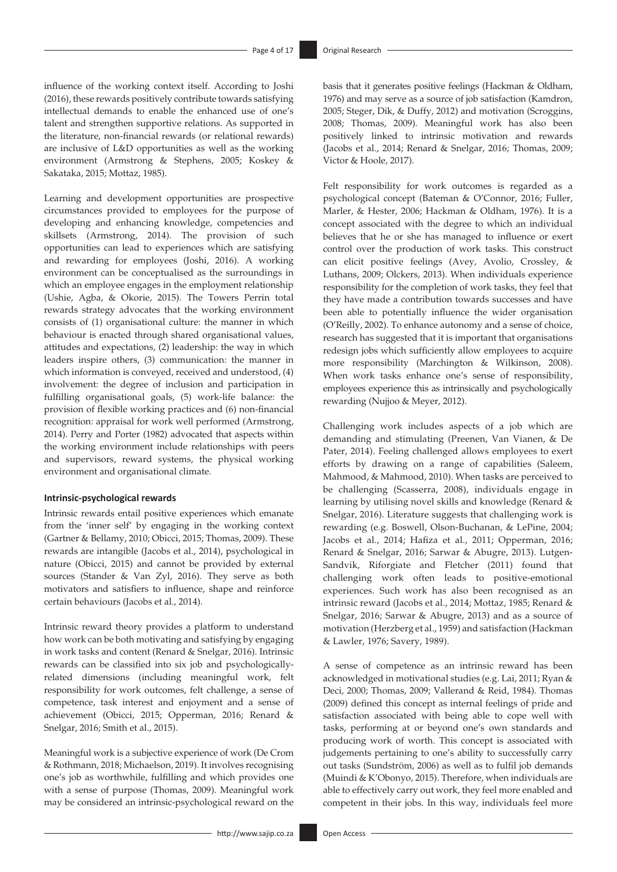influence of the working context itself. According to Joshi (2016), these rewards positively contribute towards satisfying intellectual demands to enable the enhanced use of one's talent and strengthen supportive relations. As supported in the literature, non-financial rewards (or relational rewards) are inclusive of L&D opportunities as well as the working environment (Armstrong & Stephens, 2005; Koskey & Sakataka, 2015; Mottaz, 1985).

Learning and development opportunities are prospective circumstances provided to employees for the purpose of developing and enhancing knowledge, competencies and skillsets (Armstrong, 2014). The provision of such opportunities can lead to experiences which are satisfying and rewarding for employees (Joshi, 2016). A working environment can be conceptualised as the surroundings in which an employee engages in the employment relationship (Ushie, Agba, & Okorie, 2015). The Towers Perrin total rewards strategy advocates that the working environment consists of (1) organisational culture: the manner in which behaviour is enacted through shared organisational values, attitudes and expectations, (2) leadership: the way in which leaders inspire others, (3) communication: the manner in which information is conveyed, received and understood, (4) involvement: the degree of inclusion and participation in fulfilling organisational goals, (5) work-life balance: the provision of flexible working practices and (6) non-financial recognition: appraisal for work well performed (Armstrong, 2014). Perry and Porter (1982) advocated that aspects within the working environment include relationships with peers and supervisors, reward systems, the physical working environment and organisational climate.

#### **Intrinsic-psychological rewards**

Intrinsic rewards entail positive experiences which emanate from the 'inner self' by engaging in the working context (Gartner & Bellamy, 2010; Obicci, 2015; Thomas, 2009). These rewards are intangible (Jacobs et al., 2014), psychological in nature (Obicci, 2015) and cannot be provided by external sources (Stander & Van Zyl, 2016). They serve as both motivators and satisfiers to influence, shape and reinforce certain behaviours (Jacobs et al., 2014).

Intrinsic reward theory provides a platform to understand how work can be both motivating and satisfying by engaging in work tasks and content (Renard & Snelgar, 2016). Intrinsic rewards can be classified into six job and psychologicallyrelated dimensions (including meaningful work, felt responsibility for work outcomes, felt challenge, a sense of competence, task interest and enjoyment and a sense of achievement (Obicci, 2015; Opperman, 2016; Renard & Snelgar, 2016; Smith et al., 2015).

Meaningful work is a subjective experience of work (De Crom & Rothmann, 2018; Michaelson, 2019). It involves recognising one's job as worthwhile, fulfilling and which provides one with a sense of purpose (Thomas, 2009). Meaningful work may be considered an intrinsic-psychological reward on the

basis that it generates positive feelings (Hackman & Oldham, 1976) and may serve as a source of job satisfaction (Kamdron, 2005; Steger, Dik, & Duffy, 2012) and motivation (Scroggins, 2008; Thomas, 2009). Meaningful work has also been positively linked to intrinsic motivation and rewards (Jacobs et al., 2014; Renard & Snelgar, 2016; Thomas, 2009; Victor & Hoole, 2017).

Felt responsibility for work outcomes is regarded as a psychological concept (Bateman & O'Connor, 2016; Fuller, Marler, & Hester, 2006; Hackman & Oldham, 1976). It is a concept associated with the degree to which an individual believes that he or she has managed to influence or exert control over the production of work tasks. This construct can elicit positive feelings (Avey, Avolio, Crossley, & Luthans, 2009; Olckers, 2013). When individuals experience responsibility for the completion of work tasks, they feel that they have made a contribution towards successes and have been able to potentially influence the wider organisation (O'Reilly, 2002). To enhance autonomy and a sense of choice, research has suggested that it is important that organisations redesign jobs which sufficiently allow employees to acquire more responsibility (Marchington & Wilkinson, 2008). When work tasks enhance one's sense of responsibility, employees experience this as intrinsically and psychologically rewarding (Nujjoo & Meyer, 2012).

Challenging work includes aspects of a job which are demanding and stimulating (Preenen, Van Vianen, & De Pater, 2014). Feeling challenged allows employees to exert efforts by drawing on a range of capabilities (Saleem, Mahmood, & Mahmood, 2010). When tasks are perceived to be challenging (Scasserra, 2008), individuals engage in learning by utilising novel skills and knowledge (Renard & Snelgar, 2016). Literature suggests that challenging work is rewarding (e.g. Boswell, Olson-Buchanan, & LePine, 2004; Jacobs et al., 2014; Hafiza et al., 2011; Opperman, 2016; Renard & Snelgar, 2016; Sarwar & Abugre, 2013). Lutgen-Sandvik, Riforgiate and Fletcher (2011) found that challenging work often leads to positive-emotional experiences. Such work has also been recognised as an intrinsic reward (Jacobs et al., 2014; Mottaz, 1985; Renard & Snelgar, 2016; Sarwar & Abugre, 2013) and as a source of motivation (Herzberg et al., 1959) and satisfaction (Hackman & Lawler, 1976; Savery, 1989).

A sense of competence as an intrinsic reward has been acknowledged in motivational studies (e.g. Lai, 2011; Ryan & Deci, 2000; Thomas, 2009; Vallerand & Reid, 1984). Thomas (2009) defined this concept as internal feelings of pride and satisfaction associated with being able to cope well with tasks, performing at or beyond one's own standards and producing work of worth. This concept is associated with judgements pertaining to one's ability to successfully carry out tasks (Sundström, 2006) as well as to fulfil job demands (Muindi & K'Obonyo, 2015). Therefore, when individuals are able to effectively carry out work, they feel more enabled and competent in their jobs. In this way, individuals feel more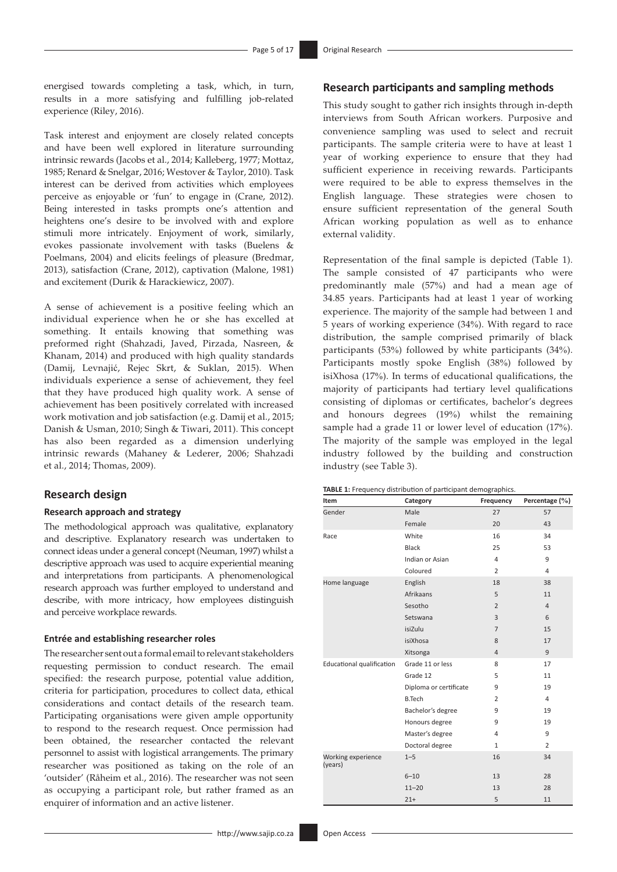energised towards completing a task, which, in turn, results in a more satisfying and fulfilling job-related experience (Riley, 2016).

Task interest and enjoyment are closely related concepts and have been well explored in literature surrounding intrinsic rewards (Jacobs et al., 2014; Kalleberg, 1977; Mottaz, 1985; Renard & Snelgar, 2016; Westover & Taylor, 2010). Task interest can be derived from activities which employees perceive as enjoyable or 'fun' to engage in (Crane, 2012). Being interested in tasks prompts one's attention and heightens one's desire to be involved with and explore stimuli more intricately. Enjoyment of work, similarly, evokes passionate involvement with tasks (Buelens & Poelmans, 2004) and elicits feelings of pleasure (Bredmar, 2013), satisfaction (Crane, 2012), captivation (Malone, 1981) and excitement (Durik & Harackiewicz, 2007).

A sense of achievement is a positive feeling which an individual experience when he or she has excelled at something. It entails knowing that something was preformed right (Shahzadi, Javed, Pirzada, Nasreen, & Khanam, 2014) and produced with high quality standards (Damij, Levnajić, Rejec Skrt, & Suklan, 2015). When individuals experience a sense of achievement, they feel that they have produced high quality work. A sense of achievement has been positively correlated with increased work motivation and job satisfaction (e.g. Damij et al., 2015; Danish & Usman, 2010; Singh & Tiwari, 2011). This concept has also been regarded as a dimension underlying intrinsic rewards (Mahaney & Lederer, 2006; Shahzadi et al., 2014; Thomas, 2009).

## **Research design**

#### **Research approach and strategy**

The methodological approach was qualitative, explanatory and descriptive. Explanatory research was undertaken to connect ideas under a general concept (Neuman, 1997) whilst a descriptive approach was used to acquire experiential meaning and interpretations from participants. A phenomenological research approach was further employed to understand and describe, with more intricacy, how employees distinguish and perceive workplace rewards.

#### **Entrée and establishing researcher roles**

The researcher sent out a formal email to relevant stakeholders requesting permission to conduct research. The email specified: the research purpose, potential value addition, criteria for participation, procedures to collect data, ethical considerations and contact details of the research team. Participating organisations were given ample opportunity to respond to the research request. Once permission had been obtained, the researcher contacted the relevant personnel to assist with logistical arrangements. The primary researcher was positioned as taking on the role of an 'outsider' (Råheim et al., 2016). The researcher was not seen as occupying a participant role, but rather framed as an enquirer of information and an active listener.

# **Research participants and sampling methods**

This study sought to gather rich insights through in-depth interviews from South African workers. Purposive and convenience sampling was used to select and recruit participants. The sample criteria were to have at least 1 year of working experience to ensure that they had sufficient experience in receiving rewards. Participants were required to be able to express themselves in the English language. These strategies were chosen to ensure sufficient representation of the general South African working population as well as to enhance external validity.

Representation of the final sample is depicted (Table 1). The sample consisted of 47 participants who were predominantly male (57%) and had a mean age of 34.85 years. Participants had at least 1 year of working experience. The majority of the sample had between 1 and 5 years of working experience (34%). With regard to race distribution, the sample comprised primarily of black participants (53%) followed by white participants (34%). Participants mostly spoke English (38%) followed by isiXhosa (17%). In terms of educational qualifications, the majority of participants had tertiary level qualifications consisting of diplomas or certificates, bachelor's degrees and honours degrees (19%) whilst the remaining sample had a grade 11 or lower level of education (17%). The majority of the sample was employed in the legal industry followed by the building and construction industry (see Table 3).

| TABLE 1: Frequency distribution of participant demographics. |  |  |  |
|--------------------------------------------------------------|--|--|--|
|--------------------------------------------------------------|--|--|--|

| Item                             | Category               | Frequency      | Percentage (%) |
|----------------------------------|------------------------|----------------|----------------|
| Gender                           | Male                   | 27             | 57             |
|                                  | Female                 | 20             | 43             |
| Race                             | White                  | 16             | 34             |
|                                  | <b>Black</b>           | 25             | 53             |
|                                  | Indian or Asian        | $\overline{4}$ | 9              |
|                                  | Coloured               | $\overline{2}$ | $\overline{4}$ |
| Home language                    | English                | 18             | 38             |
|                                  | Afrikaans              | 5              | 11             |
|                                  | Sesotho                | $\overline{2}$ | $\overline{4}$ |
|                                  | Setswana               | 3              | 6              |
|                                  | isiZulu                | $\overline{7}$ | 15             |
|                                  | isiXhosa               | 8              | 17             |
|                                  | Xitsonga               | $\overline{4}$ | 9              |
| <b>Educational qualification</b> | Grade 11 or less       | 8              | 17             |
|                                  | Grade 12               | 5              | 11             |
|                                  | Diploma or certificate | 9              | 19             |
|                                  | <b>B.Tech</b>          | $\overline{2}$ | $\overline{4}$ |
|                                  | Bachelor's degree      | 9              | 19             |
|                                  | Honours degree         | 9              | 19             |
|                                  | Master's degree        | 4              | 9              |
|                                  | Doctoral degree        | $\mathbf{1}$   | $\overline{2}$ |
| Working experience<br>(years)    | $1 - 5$                | 16             | 34             |
|                                  | $6 - 10$               | 13             | 28             |
|                                  | $11 - 20$              | 13             | 28             |
|                                  | $21+$                  | 5              | 11             |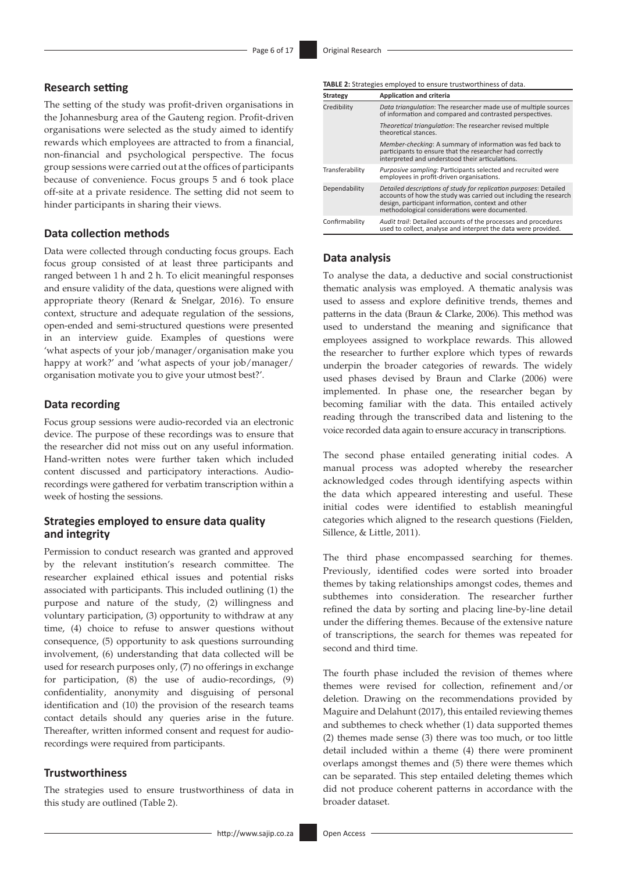## **Research setting**

The setting of the study was profit-driven organisations in the Johannesburg area of the Gauteng region. Profit-driven organisations were selected as the study aimed to identify rewards which employees are attracted to from a financial, non-financial and psychological perspective. The focus group sessions were carried out at the offices of participants because of convenience. Focus groups 5 and 6 took place off-site at a private residence. The setting did not seem to hinder participants in sharing their views.

#### **Data collection methods**

Data were collected through conducting focus groups. Each focus group consisted of at least three participants and ranged between 1 h and 2 h. To elicit meaningful responses and ensure validity of the data, questions were aligned with appropriate theory (Renard & Snelgar, 2016). To ensure context, structure and adequate regulation of the sessions, open-ended and semi-structured questions were presented in an interview guide. Examples of questions were 'what aspects of your job/manager/organisation make you happy at work?' and 'what aspects of your job/manager/ organisation motivate you to give your utmost best?'.

### **Data recording**

Focus group sessions were audio-recorded via an electronic device. The purpose of these recordings was to ensure that the researcher did not miss out on any useful information. Hand-written notes were further taken which included content discussed and participatory interactions. Audiorecordings were gathered for verbatim transcription within a week of hosting the sessions.

### **Strategies employed to ensure data quality and integrity**

Permission to conduct research was granted and approved by the relevant institution's research committee. The researcher explained ethical issues and potential risks associated with participants. This included outlining (1) the purpose and nature of the study, (2) willingness and voluntary participation, (3) opportunity to withdraw at any time, (4) choice to refuse to answer questions without consequence, (5) opportunity to ask questions surrounding involvement, (6) understanding that data collected will be used for research purposes only, (7) no offerings in exchange for participation, (8) the use of audio-recordings, (9) confidentiality, anonymity and disguising of personal identification and (10) the provision of the research teams contact details should any queries arise in the future. Thereafter, written informed consent and request for audiorecordings were required from participants.

#### **Trustworthiness**

The strategies used to ensure trustworthiness of data in this study are outlined (Table 2).

**Strategy Application and criteria** Credibility *Data triangulation*: The researcher made use of multiple sources of information and compared and contrasted perspectives. *Theoretical triangulation*: The researcher revised multiple theoretical stances. *Member-checking*: A summary of information was fed back to participants to ensure that the researcher had correctly interpreted and understood their articulations. Transferability *Purposive sampling*: Participants selected and recruited were employees in profit-driven organisations. Dependability *Detailed descriptions of study for replication purposes*: Detailed accounts of how the study was carried out including the research design, participant information, context and other methodological considerations were documented. Confirmability *Audit trail*: Detailed accounts of the processes and procedures used to collect, analyse and interpret the data were provided.

**TABLE 2:** Strategies employed to ensure trustworthiness of data.

#### **Data analysis**

To analyse the data, a deductive and social constructionist thematic analysis was employed. A thematic analysis was used to assess and explore definitive trends, themes and patterns in the data (Braun & Clarke, 2006). This method was used to understand the meaning and significance that employees assigned to workplace rewards. This allowed the researcher to further explore which types of rewards underpin the broader categories of rewards. The widely used phases devised by Braun and Clarke (2006) were implemented. In phase one, the researcher began by becoming familiar with the data. This entailed actively reading through the transcribed data and listening to the voice recorded data again to ensure accuracy in transcriptions.

The second phase entailed generating initial codes. A manual process was adopted whereby the researcher acknowledged codes through identifying aspects within the data which appeared interesting and useful. These initial codes were identified to establish meaningful categories which aligned to the research questions (Fielden, Sillence, & Little, 2011).

The third phase encompassed searching for themes. Previously, identified codes were sorted into broader themes by taking relationships amongst codes, themes and subthemes into consideration. The researcher further refined the data by sorting and placing line-by-line detail under the differing themes. Because of the extensive nature of transcriptions, the search for themes was repeated for second and third time.

The fourth phase included the revision of themes where themes were revised for collection, refinement and/or deletion. Drawing on the recommendations provided by Maguire and Delahunt (2017), this entailed reviewing themes and subthemes to check whether (1) data supported themes (2) themes made sense (3) there was too much, or too little detail included within a theme (4) there were prominent overlaps amongst themes and (5) there were themes which can be separated. This step entailed deleting themes which did not produce coherent patterns in accordance with the broader dataset.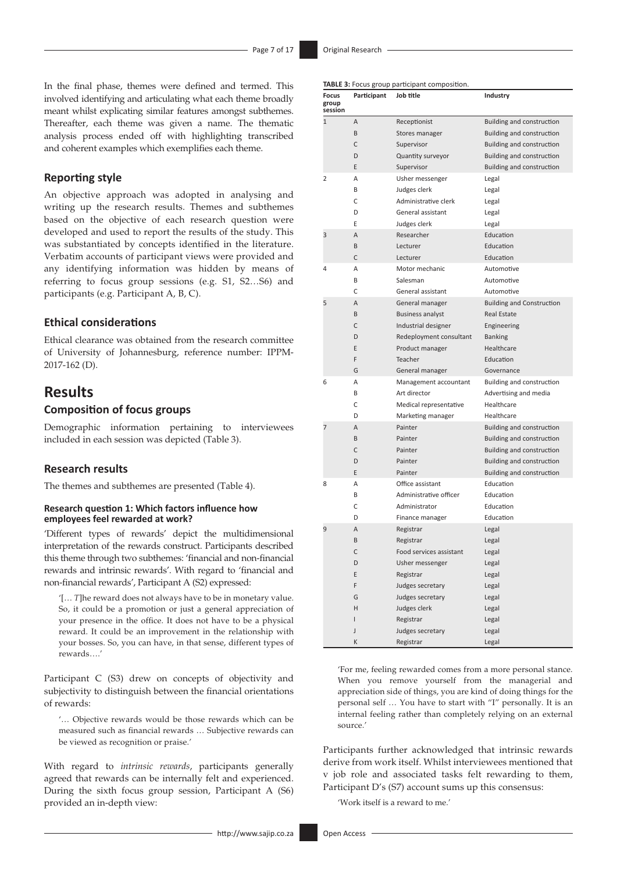In the final phase, themes were defined and termed. This involved identifying and articulating what each theme broadly meant whilst explicating similar features amongst subthemes. Thereafter, each theme was given a name. The thematic analysis process ended off with highlighting transcribed and coherent examples which exemplifies each theme.

### **Reporting style**

An objective approach was adopted in analysing and writing up the research results. Themes and subthemes based on the objective of each research question were developed and used to report the results of the study. This was substantiated by concepts identified in the literature. Verbatim accounts of participant views were provided and any identifying information was hidden by means of referring to focus group sessions (e.g. S1, S2…S6) and participants (e.g. Participant A, B, C).

### **Ethical considerations**

Ethical clearance was obtained from the research committee of University of Johannesburg, reference number: IPPM-2017-162 (D).

# **Results**

### **Composition of focus groups**

Demographic information pertaining to interviewees included in each session was depicted (Table 3).

## **Research results**

The themes and subthemes are presented (Table 4).

#### **Research question 1: Which factors influence how employees feel rewarded at work?**

'Different types of rewards' depict the multidimensional interpretation of the rewards construct. Participants described this theme through two subthemes: 'financial and non-financial rewards and intrinsic rewards'. With regard to 'financial and non-financial rewards', Participant A (S2) expressed:

'[… *T*]he reward does not always have to be in monetary value. So, it could be a promotion or just a general appreciation of your presence in the office. It does not have to be a physical reward. It could be an improvement in the relationship with your bosses. So, you can have, in that sense, different types of rewards….'

Participant C (S3) drew on concepts of objectivity and subjectivity to distinguish between the financial orientations of rewards:

'… Objective rewards would be those rewards which can be measured such as financial rewards … Subjective rewards can be viewed as recognition or praise.'

With regard to *intrinsic rewards*, participants generally agreed that rewards can be internally felt and experienced. During the sixth focus group session, Participant A (S6) provided an in-depth view:

| <b>Focus</b><br>group<br>session | Participant | Job title               | <b>Industry</b>                  |
|----------------------------------|-------------|-------------------------|----------------------------------|
| $\mathbf{1}$                     | A           | Receptionist            | Building and construction        |
|                                  | B           | Stores manager          | Building and construction        |
|                                  | C           | Supervisor              | <b>Building and construction</b> |
|                                  | D           | Quantity surveyor       | Building and construction        |
|                                  | E           | Supervisor              | Building and construction        |
| 2                                | A           | Usher messenger         | Legal                            |
|                                  | B           | Judges clerk            | Legal                            |
|                                  | C           | Administrative clerk    | Legal                            |
|                                  | D           | General assistant       | Legal                            |
|                                  | E           | Judges clerk            | Legal                            |
| 3                                | A           | Researcher              | Education                        |
|                                  | B           | Lecturer                | Education                        |
|                                  | C           | Lecturer                | Education                        |
| 4                                | A           | Motor mechanic          | Automotive                       |
|                                  | B           | Salesman                | Automotive                       |
|                                  | C           | General assistant       | Automotive                       |
| 5                                | A           | General manager         | <b>Building and Construction</b> |
|                                  | B           | <b>Business analyst</b> | <b>Real Estate</b>               |
|                                  | C           | Industrial designer     | Engineering                      |
|                                  | D           | Redeployment consultant | <b>Banking</b>                   |
|                                  | E           | Product manager         | Healthcare                       |
|                                  | F           | Teacher                 | Education                        |
|                                  | G           | General manager         | Governance                       |
| 6                                | Α           | Management accountant   | Building and construction        |
|                                  | B           | Art director            | Advertising and media            |
|                                  | С           | Medical representative  | Healthcare                       |
|                                  | D           | Marketing manager       | Healthcare                       |
| 7                                | A           | Painter                 | <b>Building and construction</b> |
|                                  | B           | Painter                 | Building and construction        |
|                                  | C           | Painter                 | Building and construction        |
|                                  | D           | Painter                 | Building and construction        |
|                                  | E           | Painter                 | <b>Building and construction</b> |
| 8                                | A           | Office assistant        | Education                        |
|                                  | B           | Administrative officer  | Education                        |
|                                  | C           | Administrator           | Education                        |
|                                  | D           | Finance manager         | Education                        |
| 9                                | A           | Registrar               | Legal                            |
|                                  | B           | Registrar               | Legal                            |
|                                  | C           | Food services assistant | Legal                            |
|                                  | D           | Usher messenger         | Legal                            |
|                                  | Ε           | Registrar               | Legal                            |
|                                  | F           | Judges secretary        | Legal                            |
|                                  | G           | Judges secretary        | Legal                            |
|                                  | Η           | Judges clerk            | Legal                            |
|                                  | I           | Registrar               | Legal                            |
|                                  | J           | Judges secretary        | Legal                            |
|                                  | К           | Registrar               | Legal                            |

'For me, feeling rewarded comes from a more personal stance. When you remove yourself from the managerial and appreciation side of things, you are kind of doing things for the personal self … You have to start with "I" personally. It is an internal feeling rather than completely relying on an external source.'

Participants further acknowledged that intrinsic rewards derive from work itself. Whilst interviewees mentioned that v job role and associated tasks felt rewarding to them, Participant D's (S7) account sums up this consensus:

'Work itself is a reward to me.'

**TABLE 3:** Focus group participant composition.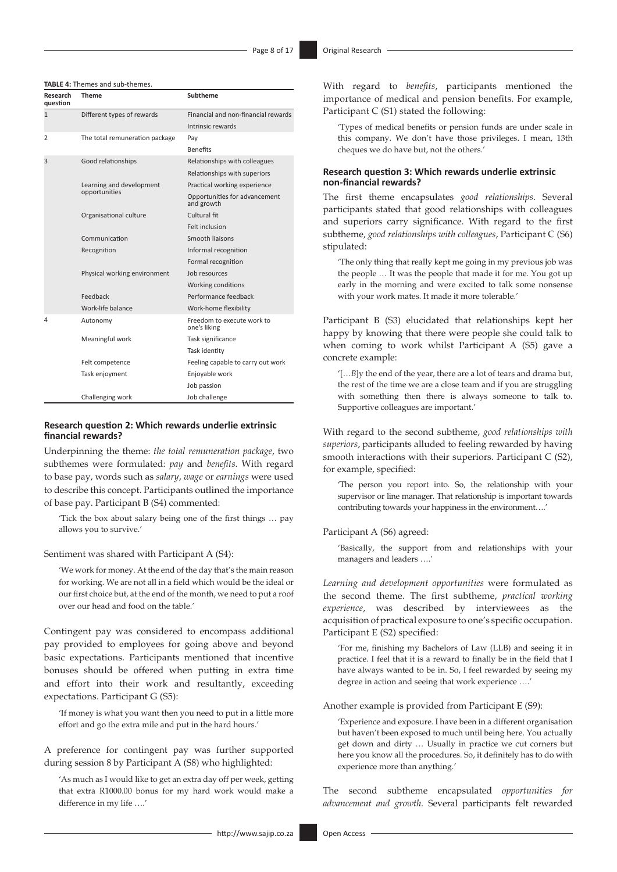**TABLE 4:** Themes and sub-themes.

| Research<br>question | <b>Theme</b>                   | Subtheme                                    |
|----------------------|--------------------------------|---------------------------------------------|
| $\mathbf{1}$         | Different types of rewards     | Financial and non-financial rewards         |
|                      |                                | Intrinsic rewards                           |
| $\overline{2}$       | The total remuneration package | Pay                                         |
|                      |                                | <b>Benefits</b>                             |
| 3                    | Good relationships             | Relationships with colleagues               |
|                      |                                | Relationships with superiors                |
|                      | Learning and development       | Practical working experience                |
|                      | opportunities                  | Opportunities for advancement<br>and growth |
|                      | Organisational culture         | Cultural fit                                |
|                      |                                | Felt inclusion                              |
|                      | Communication                  | Smooth liaisons                             |
|                      | Recognition                    | Informal recognition                        |
|                      |                                | Formal recognition                          |
|                      | Physical working environment   | Job resources                               |
|                      |                                | Working conditions                          |
|                      | Feedback                       | Performance feedback                        |
|                      | Work-life balance              | Work-home flexibility                       |
| 4                    | Autonomy                       | Freedom to execute work to<br>one's liking  |
|                      | Meaningful work                | Task significance                           |
|                      |                                | Task identity                               |
|                      | Felt competence                | Feeling capable to carry out work           |
|                      | Task enjoyment                 | Enjoyable work                              |
|                      |                                | Job passion                                 |
|                      | Challenging work               | Job challenge                               |

#### **Research question 2: Which rewards underlie extrinsic financial rewards?**

Underpinning the theme: *the total remuneration package*, two subthemes were formulated: *pay* and *benefits*. With regard to base pay, words such as *salary*, *wage* or *earnings* were used to describe this concept. Participants outlined the importance of base pay. Participant B (S4) commented:

'Tick the box about salary being one of the first things … pay allows you to survive.'

Sentiment was shared with Participant A (S4):

'We work for money. At the end of the day that's the main reason for working. We are not all in a field which would be the ideal or our first choice but, at the end of the month, we need to put a roof over our head and food on the table.'

Contingent pay was considered to encompass additional pay provided to employees for going above and beyond basic expectations. Participants mentioned that incentive bonuses should be offered when putting in extra time and effort into their work and resultantly, exceeding expectations. Participant G (S5):

'If money is what you want then you need to put in a little more effort and go the extra mile and put in the hard hours.'

A preference for contingent pay was further supported during session 8 by Participant A (S8) who highlighted:

'As much as I would like to get an extra day off per week, getting that extra R1000.00 bonus for my hard work would make a difference in my life ….'

'Types of medical benefits or pension funds are under scale in this company. We don't have those privileges. I mean, 13th cheques we do have but, not the others.'

#### **Research question 3: Which rewards underlie extrinsic non-financial rewards?**

The first theme encapsulates *good relationships*. Several participants stated that good relationships with colleagues and superiors carry significance. With regard to the first subtheme, *good relationships with colleagues*, Participant C (S6) stipulated:

'The only thing that really kept me going in my previous job was the people … It was the people that made it for me. You got up early in the morning and were excited to talk some nonsense with your work mates. It made it more tolerable.'

Participant B (S3) elucidated that relationships kept her happy by knowing that there were people she could talk to when coming to work whilst Participant A (S5) gave a concrete example:

'[…*B*]y the end of the year, there are a lot of tears and drama but, the rest of the time we are a close team and if you are struggling with something then there is always someone to talk to. Supportive colleagues are important.'

With regard to the second subtheme, *good relationships with superiors*, participants alluded to feeling rewarded by having smooth interactions with their superiors. Participant C (S2), for example, specified:

'The person you report into. So, the relationship with your supervisor or line manager. That relationship is important towards contributing towards your happiness in the environment….'

#### Participant A (S6) agreed:

'Basically, the support from and relationships with your managers and leaders ….'

*Learning and development opportunities* were formulated as the second theme. The first subtheme, *practical working experience*, was described by interviewees as the acquisition of practical exposure to one's specific occupation. Participant E (S2) specified:

'For me, finishing my Bachelors of Law (LLB) and seeing it in practice. I feel that it is a reward to finally be in the field that I have always wanted to be in. So, I feel rewarded by seeing my degree in action and seeing that work experience ….'

Another example is provided from Participant E (S9):

'Experience and exposure. I have been in a different organisation but haven't been exposed to much until being here. You actually get down and dirty … Usually in practice we cut corners but here you know all the procedures. So, it definitely has to do with experience more than anything.'

The second subtheme encapsulated *opportunities for advancement and growth*. Several participants felt rewarded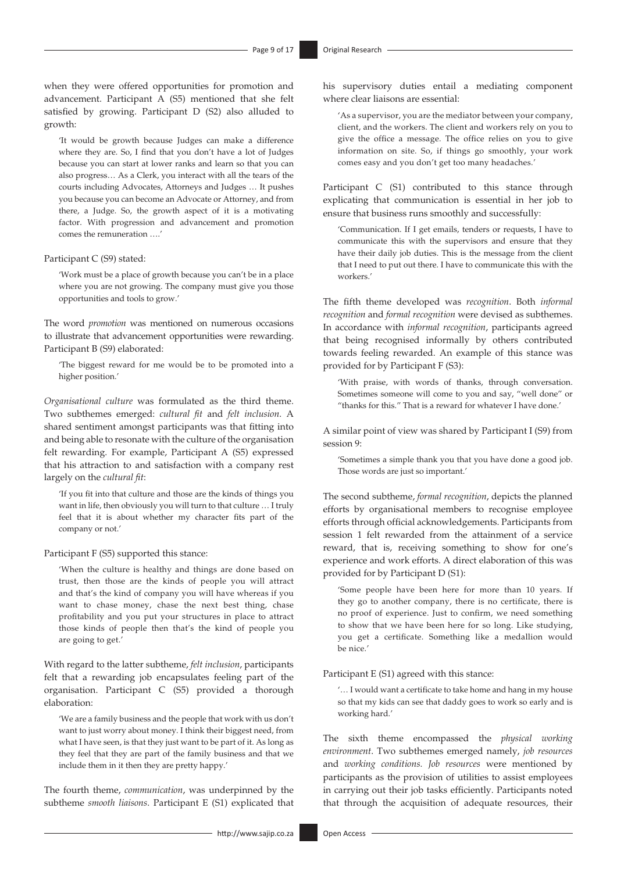when they were offered opportunities for promotion and advancement. Participant A (S5) mentioned that she felt satisfied by growing. Participant D (S2) also alluded to growth:

'It would be growth because Judges can make a difference where they are. So, I find that you don't have a lot of Judges because you can start at lower ranks and learn so that you can also progress… As a Clerk, you interact with all the tears of the courts including Advocates, Attorneys and Judges … It pushes you because you can become an Advocate or Attorney, and from there, a Judge. So, the growth aspect of it is a motivating factor. With progression and advancement and promotion comes the remuneration ….'

Participant C (S9) stated:

'Work must be a place of growth because you can't be in a place where you are not growing. The company must give you those opportunities and tools to grow.'

The word *promotion* was mentioned on numerous occasions to illustrate that advancement opportunities were rewarding. Participant B (S9) elaborated:

'The biggest reward for me would be to be promoted into a higher position.'

*Organisational culture* was formulated as the third theme. Two subthemes emerged: *cultural fit* and *felt inclusion*. A shared sentiment amongst participants was that fitting into and being able to resonate with the culture of the organisation felt rewarding. For example, Participant A (S5) expressed that his attraction to and satisfaction with a company rest largely on the *cultural fit*:

'If you fit into that culture and those are the kinds of things you want in life, then obviously you will turn to that culture … I truly feel that it is about whether my character fits part of the company or not.'

Participant F (S5) supported this stance:

'When the culture is healthy and things are done based on trust, then those are the kinds of people you will attract and that's the kind of company you will have whereas if you want to chase money, chase the next best thing, chase profitability and you put your structures in place to attract those kinds of people then that's the kind of people you are going to get.'

With regard to the latter subtheme, *felt inclusion*, participants felt that a rewarding job encapsulates feeling part of the organisation. Participant C (S5) provided a thorough elaboration:

'We are a family business and the people that work with us don't want to just worry about money. I think their biggest need, from what I have seen, is that they just want to be part of it. As long as they feel that they are part of the family business and that we include them in it then they are pretty happy.'

The fourth theme, *communication*, was underpinned by the subtheme *smooth liaisons*. Participant E (S1) explicated that

<http://www.sajip.co.za> Open Access

his supervisory duties entail a mediating component where clear liaisons are essential:

'As a supervisor, you are the mediator between your company, client, and the workers. The client and workers rely on you to give the office a message. The office relies on you to give information on site. So, if things go smoothly, your work comes easy and you don't get too many headaches.'

Participant C (S1) contributed to this stance through explicating that communication is essential in her job to ensure that business runs smoothly and successfully:

'Communication. If I get emails, tenders or requests, I have to communicate this with the supervisors and ensure that they have their daily job duties. This is the message from the client that I need to put out there. I have to communicate this with the workers.'

The fifth theme developed was *recognition*. Both *informal recognition* and *formal recognition* were devised as subthemes. In accordance with *informal recognition*, participants agreed that being recognised informally by others contributed towards feeling rewarded. An example of this stance was provided for by Participant F (S3):

'With praise, with words of thanks, through conversation. Sometimes someone will come to you and say, "well done" or "thanks for this." That is a reward for whatever I have done.'

A similar point of view was shared by Participant I (S9) from session 9:

'Sometimes a simple thank you that you have done a good job. Those words are just so important.'

The second subtheme, *formal recognition*, depicts the planned efforts by organisational members to recognise employee efforts through official acknowledgements. Participants from session 1 felt rewarded from the attainment of a service reward, that is, receiving something to show for one's experience and work efforts. A direct elaboration of this was provided for by Participant D (S1):

'Some people have been here for more than 10 years. If they go to another company, there is no certificate, there is no proof of experience. Just to confirm, we need something to show that we have been here for so long. Like studying, you get a certificate. Something like a medallion would be nice.'

Participant E (S1) agreed with this stance:

'… I would want a certificate to take home and hang in my house so that my kids can see that daddy goes to work so early and is working hard.'

The sixth theme encompassed the *physical working environment*. Two subthemes emerged namely, *job resources*  and *working conditions. Job resources* were mentioned by participants as the provision of utilities to assist employees in carrying out their job tasks efficiently. Participants noted that through the acquisition of adequate resources, their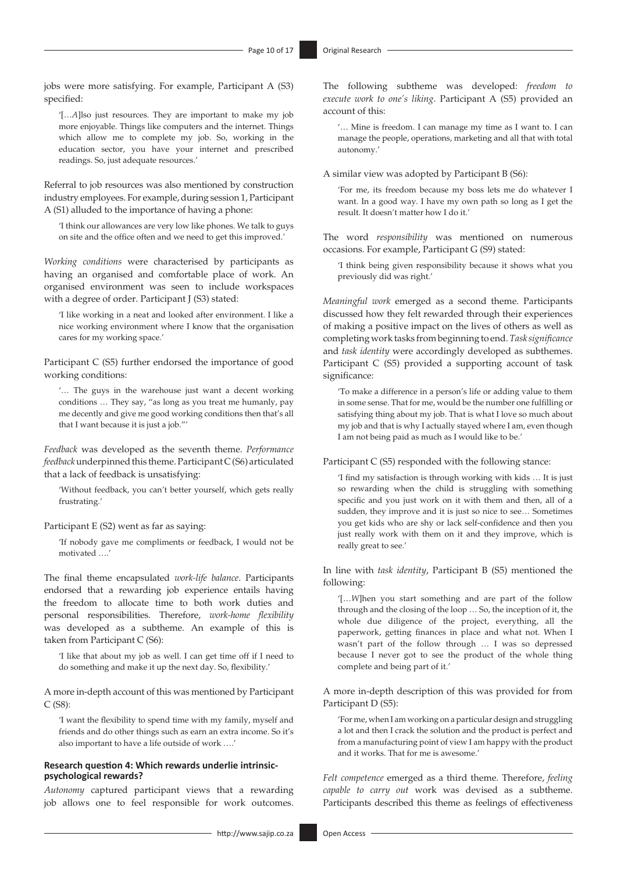jobs were more satisfying. For example, Participant A (S3) specified:

'[…*A*]lso just resources. They are important to make my job more enjoyable. Things like computers and the internet. Things which allow me to complete my job. So, working in the education sector, you have your internet and prescribed readings. So, just adequate resources.'

Referral to job resources was also mentioned by construction industry employees. For example, during session 1, Participant A (S1) alluded to the importance of having a phone:

'I think our allowances are very low like phones. We talk to guys on site and the office often and we need to get this improved.'

*Working conditions* were characterised by participants as having an organised and comfortable place of work. An organised environment was seen to include workspaces with a degree of order. Participant J (S3) stated:

'I like working in a neat and looked after environment. I like a nice working environment where I know that the organisation cares for my working space.'

Participant C (S5) further endorsed the importance of good working conditions:

'… The guys in the warehouse just want a decent working conditions … They say, "as long as you treat me humanly, pay me decently and give me good working conditions then that's all that I want because it is just a job."'

*Feedback* was developed as the seventh theme. *Performance feedback* underpinned this theme. Participant C (S6) articulated that a lack of feedback is unsatisfying:

'Without feedback, you can't better yourself, which gets really frustrating.'

#### Participant E (S2) went as far as saying:

'If nobody gave me compliments or feedback, I would not be motivated ….'

The final theme encapsulated *work-life balance*. Participants endorsed that a rewarding job experience entails having the freedom to allocate time to both work duties and personal responsibilities. Therefore, *work-home flexibility*  was developed as a subtheme. An example of this is taken from Participant C (S6):

'I like that about my job as well. I can get time off if I need to do something and make it up the next day. So, flexibility.'

A more in-depth account of this was mentioned by Participant C (S8):

'I want the flexibility to spend time with my family, myself and friends and do other things such as earn an extra income. So it's also important to have a life outside of work ….'

#### **Research question 4: Which rewards underlie intrinsicpsychological rewards?**

*Autonomy* captured participant views that a rewarding job allows one to feel responsible for work outcomes.

The following subtheme was developed: *freedom to execute work to one's liking*. Participant A (S5) provided an account of this:

'… Mine is freedom. I can manage my time as I want to. I can manage the people, operations, marketing and all that with total autonomy.'

A similar view was adopted by Participant B (S6):

'For me, its freedom because my boss lets me do whatever I want. In a good way. I have my own path so long as I get the result. It doesn't matter how I do it.'

The word *responsibility* was mentioned on numerous occasions. For example, Participant G (S9) stated:

'I think being given responsibility because it shows what you previously did was right.'

*Meaningful work* emerged as a second theme. Participants discussed how they felt rewarded through their experiences of making a positive impact on the lives of others as well as completing work tasks from beginning to end. *Task significance* and *task identity* were accordingly developed as subthemes. Participant C (S5) provided a supporting account of task significance:

'To make a difference in a person's life or adding value to them in some sense. That for me, would be the number one fulfilling or satisfying thing about my job. That is what I love so much about my job and that is why I actually stayed where I am, even though I am not being paid as much as I would like to be.'

Participant C (S5) responded with the following stance:

'I find my satisfaction is through working with kids … It is just so rewarding when the child is struggling with something specific and you just work on it with them and then, all of a sudden, they improve and it is just so nice to see… Sometimes you get kids who are shy or lack self-confidence and then you just really work with them on it and they improve, which is really great to see.'

In line with *task identity*, Participant B (S5) mentioned the following:

'[…*W*]hen you start something and are part of the follow through and the closing of the loop … So, the inception of it, the whole due diligence of the project, everything, all the paperwork, getting finances in place and what not. When I wasn't part of the follow through … I was so depressed because I never got to see the product of the whole thing complete and being part of it.'

A more in-depth description of this was provided for from Participant D (S5):

'For me, when I am working on a particular design and struggling a lot and then I crack the solution and the product is perfect and from a manufacturing point of view I am happy with the product and it works. That for me is awesome.'

*Felt competence* emerged as a third theme. Therefore, *feeling capable to carry out* work was devised as a subtheme. Participants described this theme as feelings of effectiveness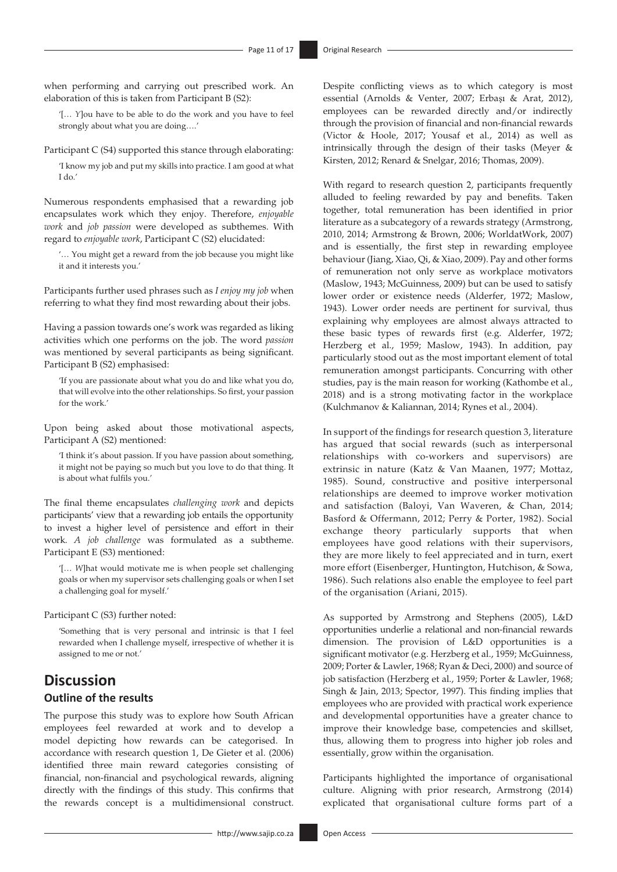when performing and carrying out prescribed work. An elaboration of this is taken from Participant B (S2):

'[… *Y*]ou have to be able to do the work and you have to feel strongly about what you are doing….'

Participant C (S4) supported this stance through elaborating:

'I know my job and put my skills into practice. I am good at what I do.'

Numerous respondents emphasised that a rewarding job encapsulates work which they enjoy. Therefore, *enjoyable work* and *job passion* were developed as subthemes. With regard to *enjoyable work*, Participant C (S2) elucidated:

'… You might get a reward from the job because you might like it and it interests you.'

Participants further used phrases such as *I enjoy my job* when referring to what they find most rewarding about their jobs.

Having a passion towards one's work was regarded as liking activities which one performs on the job. The word *passion* was mentioned by several participants as being significant. Participant B (S2) emphasised:

'If you are passionate about what you do and like what you do, that will evolve into the other relationships. So first, your passion for the work.'

Upon being asked about those motivational aspects, Participant A (S2) mentioned:

'I think it's about passion. If you have passion about something, it might not be paying so much but you love to do that thing. It is about what fulfils you.'

The final theme encapsulates *challenging work* and depicts participants' view that a rewarding job entails the opportunity to invest a higher level of persistence and effort in their work. *A job challenge* was formulated as a subtheme. Participant E (S3) mentioned:

'[… *W*]hat would motivate me is when people set challenging goals or when my supervisor sets challenging goals or when I set a challenging goal for myself.'

Participant C (S3) further noted:

'Something that is very personal and intrinsic is that I feel rewarded when I challenge myself, irrespective of whether it is assigned to me or not.'

# **Discussion Outline of the results**

The purpose this study was to explore how South African employees feel rewarded at work and to develop a model depicting how rewards can be categorised. In accordance with research question 1, De Gieter et al. (2006) identified three main reward categories consisting of financial, non-financial and psychological rewards, aligning directly with the findings of this study. This confirms that the rewards concept is a multidimensional construct.

Despite conflicting views as to which category is most essential (Arnolds & Venter, 2007; Erbaşı & Arat, 2012), employees can be rewarded directly and/or indirectly through the provision of financial and non-financial rewards (Victor & Hoole, 2017; Yousaf et al., 2014) as well as intrinsically through the design of their tasks (Meyer & Kirsten, 2012; Renard & Snelgar, 2016; Thomas, 2009).

With regard to research question 2, participants frequently alluded to feeling rewarded by pay and benefits. Taken together, total remuneration has been identified in prior literature as a subcategory of a rewards strategy (Armstrong, 2010, 2014; Armstrong & Brown, 2006; WorldatWork, 2007) and is essentially, the first step in rewarding employee behaviour (Jiang, Xiao, Qi, & Xiao, 2009). Pay and other forms of remuneration not only serve as workplace motivators (Maslow, 1943; McGuinness, 2009) but can be used to satisfy lower order or existence needs (Alderfer, 1972; Maslow, 1943). Lower order needs are pertinent for survival, thus explaining why employees are almost always attracted to these basic types of rewards first (e.g. Alderfer, 1972; Herzberg et al., 1959; Maslow, 1943). In addition, pay particularly stood out as the most important element of total remuneration amongst participants. Concurring with other studies, pay is the main reason for working (Kathombe et al., 2018) and is a strong motivating factor in the workplace (Kulchmanov & Kaliannan, 2014; Rynes et al., 2004).

In support of the findings for research question 3, literature has argued that social rewards (such as interpersonal relationships with co-workers and supervisors) are extrinsic in nature (Katz & Van Maanen, 1977; Mottaz, 1985). Sound, constructive and positive interpersonal relationships are deemed to improve worker motivation and satisfaction (Baloyi, Van Waveren, & Chan, 2014; Basford & Offermann, 2012; Perry & Porter, 1982). Social exchange theory particularly supports that when employees have good relations with their supervisors, they are more likely to feel appreciated and in turn, exert more effort (Eisenberger, Huntington, Hutchison, & Sowa, 1986). Such relations also enable the employee to feel part of the organisation (Ariani, 2015).

As supported by Armstrong and Stephens (2005), L&D opportunities underlie a relational and non-financial rewards dimension. The provision of L&D opportunities is a significant motivator (e.g. Herzberg et al., 1959; McGuinness, 2009; Porter & Lawler, 1968; Ryan & Deci, 2000) and source of job satisfaction (Herzberg et al., 1959; Porter & Lawler, 1968; Singh & Jain, 2013; Spector, 1997). This finding implies that employees who are provided with practical work experience and developmental opportunities have a greater chance to improve their knowledge base, competencies and skillset, thus, allowing them to progress into higher job roles and essentially, grow within the organisation.

Participants highlighted the importance of organisational culture. Aligning with prior research, Armstrong (2014) explicated that organisational culture forms part of a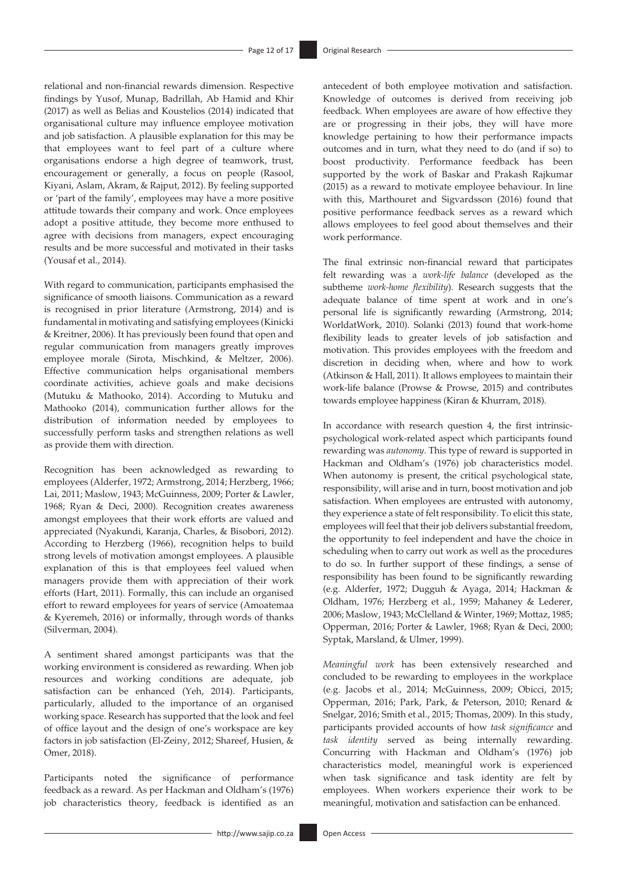relational and non-financial rewards dimension. Respective findings by Yusof, Munap, Badrillah, Ab Hamid and Khir (2017) as well as Belias and Koustelios (2014) indicated that organisational culture may influence employee motivation and job satisfaction. A plausible explanation for this may be that employees want to feel part of a culture where organisations endorse a high degree of teamwork, trust, encouragement or generally, a focus on people (Rasool, Kiyani, Aslam, Akram, & Rajput, 2012). By feeling supported or 'part of the family', employees may have a more positive attitude towards their company and work. Once employees adopt a positive attitude, they become more enthused to agree with decisions from managers, expect encouraging results and be more successful and motivated in their tasks (Yousaf et al., 2014).

With regard to communication, participants emphasised the significance of smooth liaisons. Communication as a reward is recognised in prior literature (Armstrong, 2014) and is fundamental in motivating and satisfying employees (Kinicki & Kreitner, 2006). It has previously been found that open and regular communication from managers greatly improves employee morale (Sirota, Mischkind, & Meltzer, 2006). Effective communication helps organisational members coordinate activities, achieve goals and make decisions (Mutuku & Mathooko, 2014). According to Mutuku and Mathooko (2014), communication further allows for the distribution of information needed by employees to successfully perform tasks and strengthen relations as well as provide them with direction.

Recognition has been acknowledged as rewarding to employees (Alderfer, 1972; Armstrong, 2014; Herzberg, 1966; Lai, 2011; Maslow, 1943; McGuinness, 2009; Porter & Lawler, 1968; Ryan & Deci, 2000). Recognition creates awareness amongst employees that their work efforts are valued and appreciated (Nyakundi, Karanja, Charles, & Bisobori, 2012). According to Herzberg (1966), recognition helps to build strong levels of motivation amongst employees. A plausible explanation of this is that employees feel valued when managers provide them with appreciation of their work efforts (Hart, 2011). Formally, this can include an organised effort to reward employees for years of service (Amoatemaa & Kyeremeh, 2016) or informally, through words of thanks (Silverman, 2004).

A sentiment shared amongst participants was that the working environment is considered as rewarding. When job resources and working conditions are adequate, job satisfaction can be enhanced (Yeh, 2014). Participants, particularly, alluded to the importance of an organised working space. Research has supported that the look and feel of office layout and the design of one's workspace are key factors in job satisfaction (El-Zeiny, 2012; Shareef, Husien, & Omer, 2018).

Participants noted the significance of performance feedback as a reward. As per Hackman and Oldham's (1976) job characteristics theory, feedback is identified as an antecedent of both employee motivation and satisfaction. Knowledge of outcomes is derived from receiving job feedback. When employees are aware of how effective they are or progressing in their jobs, they will have more knowledge pertaining to how their performance impacts outcomes and in turn, what they need to do (and if so) to boost productivity. Performance feedback has been supported by the work of Baskar and Prakash Rajkumar (2015) as a reward to motivate employee behaviour. In line with this, Marthouret and Sigvardsson (2016) found that positive performance feedback serves as a reward which allows employees to feel good about themselves and their work performance.

The final extrinsic non-financial reward that participates felt rewarding was a *work-life balance* (developed as the subtheme *work-home flexibility*). Research suggests that the adequate balance of time spent at work and in one's personal life is significantly rewarding (Armstrong, 2014; WorldatWork, 2010). Solanki (2013) found that work-home flexibility leads to greater levels of job satisfaction and motivation. This provides employees with the freedom and discretion in deciding when, where and how to work (Atkinson & Hall, 2011). It allows employees to maintain their work-life balance (Prowse & Prowse, 2015) and contributes towards employee happiness (Kiran & Khurram, 2018).

In accordance with research question 4, the first intrinsicpsychological work-related aspect which participants found rewarding was *autonomy*. This type of reward is supported in Hackman and Oldham's (1976) job characteristics model. When autonomy is present, the critical psychological state, responsibility, will arise and in turn, boost motivation and job satisfaction. When employees are entrusted with autonomy, they experience a state of felt responsibility. To elicit this state, employees will feel that their job delivers substantial freedom, the opportunity to feel independent and have the choice in scheduling when to carry out work as well as the procedures to do so. In further support of these findings, a sense of responsibility has been found to be significantly rewarding (e.g. Alderfer, 1972; Dugguh & Ayaga, 2014; Hackman & Oldham, 1976; Herzberg et al., 1959; Mahaney & Lederer, 2006; Maslow, 1943; McClelland & Winter, 1969; Mottaz, 1985; Opperman, 2016; Porter & Lawler, 1968; Ryan & Deci, 2000; Syptak, Marsland, & Ulmer, 1999).

*Meaningful work* has been extensively researched and concluded to be rewarding to employees in the workplace (e.g. Jacobs et al., 2014; McGuinness, 2009; Obicci, 2015; Opperman, 2016; Park, Park, & Peterson, 2010; Renard & Snelgar, 2016; Smith et al., 2015; Thomas, 2009). In this study, participants provided accounts of how *task significance* and *task identity* served as being internally rewarding. Concurring with Hackman and Oldham's (1976) job characteristics model, meaningful work is experienced when task significance and task identity are felt by employees. When workers experience their work to be meaningful, motivation and satisfaction can be enhanced.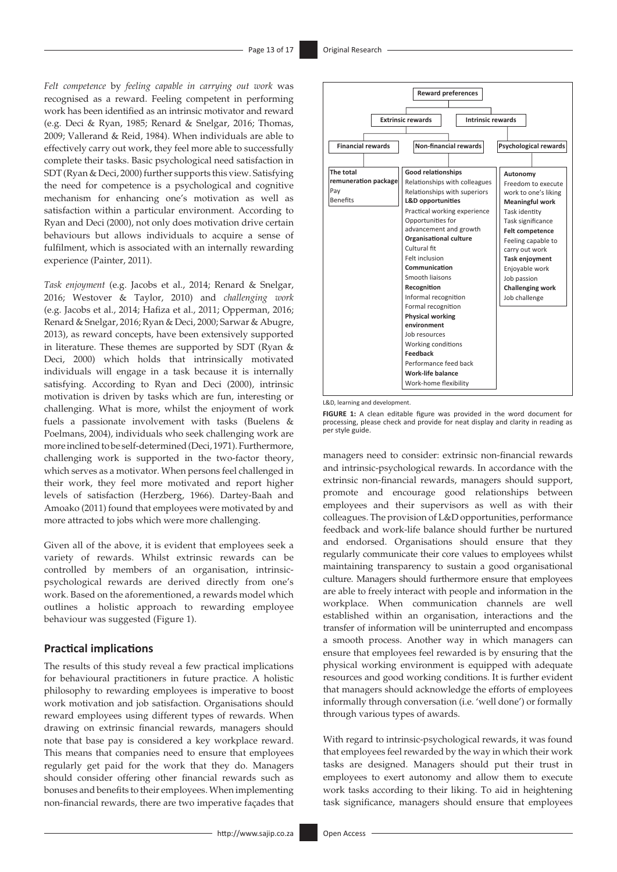*Felt competence* by *feeling capable in carrying out work* was recognised as a reward. Feeling competent in performing work has been identified as an intrinsic motivator and reward (e.g. Deci & Ryan, 1985; Renard & Snelgar, 2016; Thomas, 2009; Vallerand & Reid, 1984). When individuals are able to effectively carry out work, they feel more able to successfully complete their tasks. Basic psychological need satisfaction in SDT (Ryan & Deci, 2000) further supports this view. Satisfying the need for competence is a psychological and cognitive mechanism for enhancing one's motivation as well as satisfaction within a particular environment. According to Ryan and Deci (2000), not only does motivation drive certain behaviours but allows individuals to acquire a sense of fulfilment, which is associated with an internally rewarding experience (Painter, 2011).

*Task enjoyment* (e.g. Jacobs et al., 2014; Renard & Snelgar, 2016; Westover & Taylor, 2010) and *challenging work* (e.g. Jacobs et al., 2014; Hafiza et al., 2011; Opperman, 2016; Renard & Snelgar, 2016; Ryan & Deci, 2000; Sarwar & Abugre, 2013), as reward concepts, have been extensively supported in literature. These themes are supported by SDT (Ryan & Deci, 2000) which holds that intrinsically motivated individuals will engage in a task because it is internally satisfying. According to Ryan and Deci (2000), intrinsic motivation is driven by tasks which are fun, interesting or challenging. What is more, whilst the enjoyment of work fuels a passionate involvement with tasks (Buelens & Poelmans, 2004), individuals who seek challenging work are more inclined to be self-determined (Deci, 1971). Furthermore, challenging work is supported in the two-factor theory, which serves as a motivator. When persons feel challenged in their work, they feel more motivated and report higher levels of satisfaction (Herzberg, 1966). Dartey-Baah and Amoako (2011) found that employees were motivated by and more attracted to jobs which were more challenging.

Given all of the above, it is evident that employees seek a variety of rewards. Whilst extrinsic rewards can be controlled by members of an organisation, intrinsicpsychological rewards are derived directly from one's work. Based on the aforementioned, a rewards model which outlines a holistic approach to rewarding employee behaviour was suggested (Figure 1).

#### **Practical implications**

The results of this study reveal a few practical implications for behavioural practitioners in future practice. A holistic philosophy to rewarding employees is imperative to boost work motivation and job satisfaction. Organisations should reward employees using different types of rewards. When drawing on extrinsic financial rewards, managers should note that base pay is considered a key workplace reward. This means that companies need to ensure that employees regularly get paid for the work that they do. Managers should consider offering other financial rewards such as bonuses and benefits to their employees. When implementing non-financial rewards, there are two imperative façades that



L&D, learning and development.

**FIGURE 1:** A clean editable figure was provided in the word document for processing, please check and provide for neat display and clarity in reading as per style guide.

managers need to consider: extrinsic non-financial rewards and intrinsic-psychological rewards. In accordance with the extrinsic non-financial rewards, managers should support, promote and encourage good relationships between employees and their supervisors as well as with their colleagues. The provision of L&D opportunities, performance feedback and work-life balance should further be nurtured and endorsed. Organisations should ensure that they regularly communicate their core values to employees whilst maintaining transparency to sustain a good organisational culture. Managers should furthermore ensure that employees are able to freely interact with people and information in the workplace. When communication channels are well established within an organisation, interactions and the transfer of information will be uninterrupted and encompass a smooth process. Another way in which managers can ensure that employees feel rewarded is by ensuring that the physical working environment is equipped with adequate resources and good working conditions. It is further evident that managers should acknowledge the efforts of employees informally through conversation (i.e. 'well done') or formally through various types of awards.

With regard to intrinsic-psychological rewards, it was found that employees feel rewarded by the way in which their work tasks are designed. Managers should put their trust in employees to exert autonomy and allow them to execute work tasks according to their liking. To aid in heightening task significance, managers should ensure that employees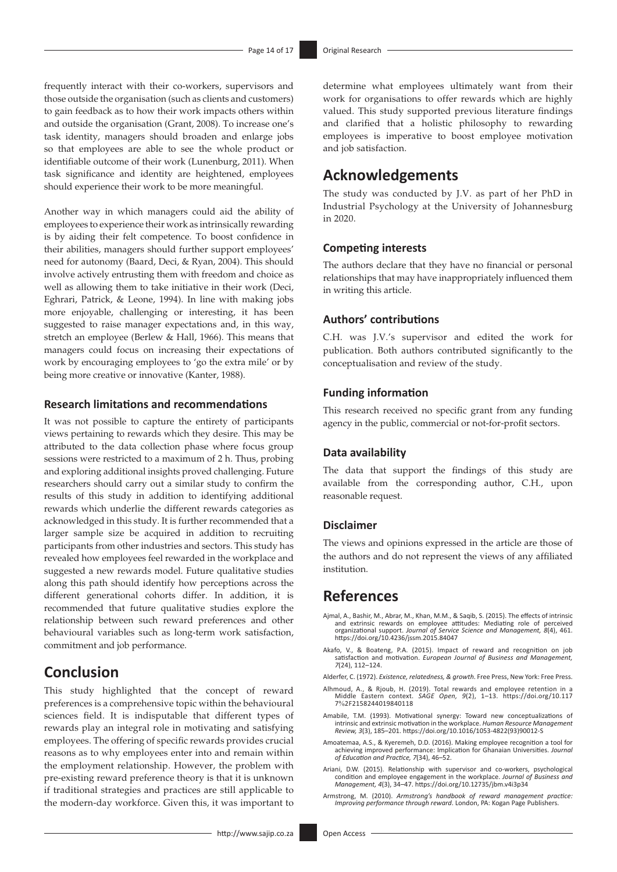frequently interact with their co-workers, supervisors and those outside the organisation (such as clients and customers) to gain feedback as to how their work impacts others within and outside the organisation (Grant, 2008). To increase one's task identity, managers should broaden and enlarge jobs so that employees are able to see the whole product or identifiable outcome of their work (Lunenburg, 2011). When task significance and identity are heightened, employees should experience their work to be more meaningful.

Another way in which managers could aid the ability of employees to experience their work as intrinsically rewarding is by aiding their felt competence. To boost confidence in their abilities, managers should further support employees' need for autonomy (Baard, Deci, & Ryan, 2004). This should involve actively entrusting them with freedom and choice as well as allowing them to take initiative in their work (Deci, Eghrari, Patrick, & Leone, 1994). In line with making jobs more enjoyable, challenging or interesting, it has been suggested to raise manager expectations and, in this way, stretch an employee (Berlew & Hall, 1966). This means that managers could focus on increasing their expectations of work by encouraging employees to 'go the extra mile' or by being more creative or innovative (Kanter, 1988).

### **Research limitations and recommendations**

It was not possible to capture the entirety of participants views pertaining to rewards which they desire. This may be attributed to the data collection phase where focus group sessions were restricted to a maximum of 2 h. Thus, probing and exploring additional insights proved challenging. Future researchers should carry out a similar study to confirm the results of this study in addition to identifying additional rewards which underlie the different rewards categories as acknowledged in this study. It is further recommended that a larger sample size be acquired in addition to recruiting participants from other industries and sectors. This study has revealed how employees feel rewarded in the workplace and suggested a new rewards model. Future qualitative studies along this path should identify how perceptions across the different generational cohorts differ. In addition, it is recommended that future qualitative studies explore the relationship between such reward preferences and other behavioural variables such as long-term work satisfaction, commitment and job performance.

# **Conclusion**

This study highlighted that the concept of reward preferences is a comprehensive topic within the behavioural sciences field. It is indisputable that different types of rewards play an integral role in motivating and satisfying employees. The offering of specific rewards provides crucial reasons as to why employees enter into and remain within the employment relationship. However, the problem with pre-existing reward preference theory is that it is unknown if traditional strategies and practices are still applicable to the modern-day workforce. Given this, it was important to

determine what employees ultimately want from their work for organisations to offer rewards which are highly valued. This study supported previous literature findings and clarified that a holistic philosophy to rewarding employees is imperative to boost employee motivation and job satisfaction.

# **Acknowledgements**

The study was conducted by J.V. as part of her PhD in Industrial Psychology at the University of Johannesburg in 2020.

#### **Competing interests**

The authors declare that they have no financial or personal relationships that may have inappropriately influenced them in writing this article.

#### **Authors' contributions**

C.H. was J.V.'s supervisor and edited the work for publication. Both authors contributed significantly to the conceptualisation and review of the study.

#### **Funding information**

This research received no specific grant from any funding agency in the public, commercial or not-for-profit sectors.

#### **Data availability**

The data that support the findings of this study are available from the corresponding author, C.H., upon reasonable request.

#### **Disclaimer**

The views and opinions expressed in the article are those of the authors and do not represent the views of any affiliated institution.

# **References**

- Ajmal, A., Bashir, M., Abrar, M., Khan, M.M., & Saqib, S. (2015). The effects of intrinsic and extrinsic rewards on employee attitudes: Mediating role of perceived organizational support. *Journal of Service Science and Management, 8*(4), 461. <https://doi.org/10.4236/jssm.2015.84047>
- Akafo, V., & Boateng, P.A. (2015). Impact of reward and recognition on job satisfaction and motivation. *European Journal of Business and Management, 7*(24), 112–124.
- Alderfer, C. (1972). *Existence, relatedness, & growth*. Free Press, New York: Free Press.
- Alhmoud, A., & Rjoub, H. (2019). Total rewards and employee retention in a Middle Eastern context. *SAGE Open, 9*(2), 1–13. [https://doi.org/10.117](https://doi.org/10.117​7%2F2158244019840118) 7%[2F2158244019840118](https://doi.org/10.117​7%2F2158244019840118)
- Amabile, T.M. (1993). Motivational synergy: Toward new conceptualizations of intrinsic and extrinsic motivation in the workplace. *Human Resource Management Review, 3*(3), 185–201. [https://doi.org/10.1016/1053-4822\(93\)90012-S](https://doi.org/10.1016/1053-4822(93)90012-S)
- Amoatemaa, A.S., & Kyeremeh, D.D. (2016). Making employee recognition a tool for achieving improved performance: Implication for Ghanaian Universities. *Journal of Education and Practice, 7*(34), 46–52.
- Ariani, D.W. (2015). Relationship with supervisor and co-workers, psychological condition and employee engagement in the workplace. *Journal of Business and Management, 4*(3), 34–47. <https://doi.org/10.12735/jbm.v4i3p34>
- Armstrong, M. (2010). *Armstrong's handbook of reward management practice: Improving performance through reward*. London, PA: Kogan Page Publishers.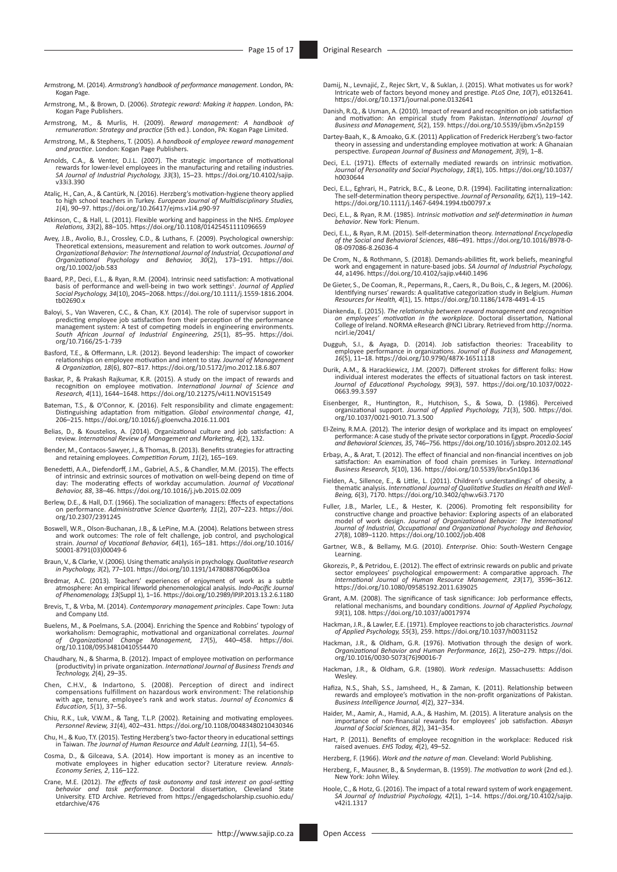Armstrong, M. (2014). *Armstrong's handbook of performance management*. London, PA: Kogan Page.

- Armstrong, M., & Brown, D. (2006). *Strategic reward: Making it happen*. London, PA: Kogan Page Publishers.
- Armstrong, M., & Murlis, H. (2009). *Reward management: A handbook of remuneration: Strategy and practice* (5th ed.). London, PA: Kogan Page Limited.
- Armstrong, M., & Stephens, T. (2005). *A handbook of employee reward management and practice*. London: Kogan Page Publishers.
- Arnolds, C.A., & Venter, D.J.L. (2007). The strategic importance of motivational rewards for lower-level employees in the manufacturing and retailing industries. *SA Journal of Industrial Psychology, 33*(3), 15–23. [https://doi.org/10.4102/sajip.](https://doi.org/10.4102/sajip.v33i3.390) [v33i3.390](https://doi.org/10.4102/sajip.v33i3.390)
- Ataliç, H., Can, A., & Cantürk, N. (2016). Herzberg's motivation-hygiene theory applied<br>to high school teachers in Turkey. European Journal of Multidisciplinary Studies,<br>1(4), 90–97. https://doi.org/10.26417/ejms.v1i4.p90-
- Atkinson, C., & Hall, L. (2011). Flexible working and happiness in the NHS. *Employee Relations, 33*(2), 88–105.<https://doi.org/10.1108/01425451111096659>
- Avey, J.B., Avolio, B.J., Crossley, C.D., & Luthans, F. (2009). Psychological ownership: Theoretical extensions, measurement and relation to work outcomes. Journal of<br>Organizational Behavior: The International Journal of Industrial, Occupational and<br>Organizational - Psychology - and - Behavior, - 30(2), - 173– [org/10.1002/job.583](https://doi.org/10.1002/job.583)
- Baard, P.P., Deci, E.L., & Ryan, R.M. (2004). Intrinsic need satisfaction: A motivational basis of performance and well-being in two work settings<sup>1</sup>. Journal of Applied<br>Social Psychology, 34(10), 2045–2068. [https://doi.org/10.1111/j.1559-1816.2004.](https://doi.org/10.1111/j.1559-1816.2004.tb02690.x) [tb02690.x](https://doi.org/10.1111/j.1559-1816.2004.tb02690.x)
- Baloyi, S., Van Waveren, C.C., & Chan, K.Y. (2014). The role of supervisor support in predicting employee job satisfaction from their perception of the performance management system: A test of competing models in engineeri [org/10.7166/25-1-739](https://doi.org/10.7166/25-1-739)
- Basford, T.E., & Offermann, L.R. (2012). Beyond leadership: The impact of coworker<br>relationships on employee motivation and intent to stay. Journal of Management<br>& Organization, 18(6), 807–817. https://doi.org/10.5172/jmo.
- Baskar, P., & Prakash Rajkumar, K.R. (2015). A study on the impact of rewards and<br>recognition on employee motivation. International Journal of Science and<br>Research, 4(11), 1644–1648. https://doi.org/10.21275/v4i11.NOV15154
- Bateman, T.S., & O'Connor, K. (2016). Felt responsibility and climate engagement:<br>Distinguishing adaptation from mitigation. *Global environmental change, 41*,<br>206–215. <https://doi.org/10.1016/j.gloenvcha.2016.11.001>
- Belias, D., & Koustelios, A. (2014). Organizational culture and job satisfaction: A review. *International Review of Management and Marketing, 4*(2), 132.
- Bender, M., Contacos-Sawyer, J., & Thomas, B. (2013). Benefits strategies for attracting and retaining employees. *Competition Forum, 11*(2), 165–169.
- Benedetti, A.A., Diefendorff, J.M., Gabriel, A.S., & Chandler, M.M. (2015). The effects of intrinsic and extrinsic sources of motivation on well-being depend on time of<br>day: The moderating effects of workday accumulation. Journal of *Vocational*<br>Behavior, 88, 38–46.<https://doi.org/10.1016/j.jvb.2015.02.009>
- Berlew, D.E., & Hall, D.T. (1966). The socialization of managers: Effects of expectations on performance. *Administrative Science Quarterly, 11*(2), 207–223. [https://doi.](https://doi.org/10.2307/2391245) [org/10.2307/2391245](https://doi.org/10.2307/2391245)
- Boswell, W.R., Olson-Buchanan, J.B., & LePine, M.A. (2004). Relations between stress<br>and work outcomes: The role of felt challenge, job control, and psychological<br>strain. Journal of Vocational Behavior, 64(1), 165–181. htt [S0001-8791\(03\)00049-6](https://doi.org/10.1016/S0001-8791(03)00049-6)
- Braun, V., & Clarke, V. (2006). Using thematic analysis in psychology. *Qualitative research in Psychology, 3*(2), 77–101. [https://doi.org/10.1191/1478088706qp063oa](https://doi.org/10.1191/147808​8706qp063oa)
- Bredmar, A.C. (2013). Teachers' experiences of enjoyment of work as a subtle atmosphere: An empirical lifeworld phenomenological analysis. *Indo-Pacific Journal of Phenomenology, 13*(Suppl 1), 1–16. <https://doi.org/10.2989/IPJP.2013.13.2.6.1180>
- Brevis, T., & Vrba, M. (2014). *Contemporary management principles*. Cape Town: Juta and Company Ltd.
- Buelens, M., & Poelmans, S.A. (2004). Enriching the Spence and Robbins' typology of<br>workaholism: Demographic, motivational and organizational correlates. Journal<br>of Organizational Change Management, 17(5), 440–458. https:/ [org/10.1108/09534810410554470](https://doi.org/10.1108/09534810410554470)
- Chaudhary, N., & Sharma, B. (2012). Impact of employee motivation on performance (productivity) in private organization. *International Journal of Business Trends and Technology, 2*(4), 29–35.
- Chen, C.H.V., & Indartono, S. (2008). Perception of direct and indirect compensations fulfillment on hazardous work environment: The relationship with age, tenure, employee's rank and work status. *Journal of Economics & Education, 5*(1), 37–56.
- Chiu, R.K., Luk, V.W.M., & Tang, T.L.P. (2002). Retaining and motivating employees. *Personnel Review, 31*(4), 402–431.<https://doi.org/10.1108/00483480210430346>
- Chu, H., & Kuo, T.Y. (2015). Testing Herzberg's two-factor theory in educational settings in Taiwan. *The Journal of Human Resource and Adult Learning, 11*(1), 54–65.
- Cosma, D., & Gilceava, S.A. (2014). How important is money as an incentive to motivate employees in higher education sector? Literature review. *Annals-*<br>*Economy Series, 2*, 116–122.<br>*Economy Series, 2*, 116–122.
- Crane, M.E. (2012). *The effects of task autonomy and task interest on goal-setting behavior and task performance.* Doctoral dissertation, Cleveland State University. ETD Archive. Retrieved from [https://engagedscholarship.csuohio.edu/](https://engagedscholarship.csuohio.edu/etdarchive/476) [etdarchive/476](https://engagedscholarship.csuohio.edu/etdarchive/476)
- Damij, N., Levnajić, Z., Rejec Skrt, V., & Suklan, J. (2015). What motivates us for work? Intricate web of factors beyond money and prestige. *PLoS One, 10*(7), e0132641. <https://doi.org/10.1371/journal.pone.0132641>
- Danish, R.Q., & Usman, A. (2010). Impact of reward and recognition on job satisfaction and motivation: An empirical study from Pakistan. *International Journal of Business and Management, 5*(2), 159. <https://doi.org/10.5539/ijbm.v5n2p159>
- Dartey-Baah, K., & Amoako, G.K. (2011) Application of Frederick Herzberg's two-factor theory in assessing and understanding employee motivation at work: A Ghanaian perspective. *European Journal of Business and Management, 3*(9), 1–8.
- Deci, E.L. (1971). Effects of externally mediated rewards on intrinsic motivation.<br>Journal of Personality and Social Psychology, 18(1), 105. [https://doi.org/10.1037/](https://doi.org/10.1037/h0030644)<br>[h0030644](https://doi.org/10.1037/h0030644)
- Deci, E.L., Eghrari, H., Patrick, B.C., & Leone, D.R. (1994). Facilitating internalization: The self‐determination theory perspective. *Journal of Personality, 62*(1), 119–142. <https://doi.org/10.1111/j.1467-6494.1994.tb00797.x>
- Deci, E.L., & Ryan, R.M. (1985). *Intrinsic motivation and self-determination in human behavior*. New York: Plenum.
- Deci, E.L., & Ryan, R.M. (2015). Self-determination theory. *International Encyclopedia of the Social and Behavioral Sciences*, 486–491. [https://doi.org/10.1016/B978-0-](https://doi.org/10.1016/B978-0-08-097086-8.26036-4) [08-097086-8.26036-4](https://doi.org/10.1016/B978-0-08-097086-8.26036-4)
- De Crom, N., & Rothmann, S. (2018). Demands-abilities fit, work beliefs, meaningful<br>work and engagement in nature-based jobs. [SA Jour](https://doi.org/10.4102/sajip.v44i0.1496)nal of Industrial Psychology,<br>44, a1496. https://doi.org/10.4102/sajip.v44i0.1496
- De Gieter, S., De Cooman, R., Pepermans, R., Caers, R., Du Bois, C., & Jegers, M. (2006). Identifying nurses' rewards: A qualitative categorization study in Belgium. *Human Resources for Health, 4*(1), 15. <https://doi.org/10.1186/1478-4491-4-15>
- Diankenda, E. (2015). *The relationship between reward management and recognition on employees' motivation in the workplace*. Doctoral dissertation, National College of Ireland. NORMA eResearch @NCI Library. Retrieved from [http://norma.](http://norma.ncirl.ie/2041/) [ncirl.ie/2041/](http://norma.ncirl.ie/2041/)
- Dugguh, S.I., & Ayaga, D. (2014). Job satisfaction theories: Traceability to employee performance in organizations. *Journal of Business and Management, 16*(5), 11–18.<https://doi.org/10.9790/487X-16511118>
- Durik, A.M., & Harackiewicz, J.M. (2007). Different strokes for different folks: How individual interest moderates the effects of situational factors on task interest. *Journal of Educational Psychology, 99*(3), 597. [https://doi.org/10.1037/0022-](https://doi.org/10.1037/0022-0663.99.3.597) [0663.99.3.597](https://doi.org/10.1037/0022-0663.99.3.597)
- Eisenberger, R., Huntington, R., Hutchison, S., & Sowa, D. (1986). Perceived organizational support. *Journal of Applied Psychology, 71*(3), 500. [https://doi.](https://doi.org/10.1037/0021-9010.71.3.500) [org/10.1037/0021-9010.71.3.500](https://doi.org/10.1037/0021-9010.71.3.500)
- 'El-Zeiny, R.M.A. (2012). The interior design of workplace and its impact on employees<br>performance: A case study of the private sector corporations in Egypt. Procedio-Socid<br>and Behavioral Sciences, 35, 746–756. https://doi
- Erbaşı, A., & Arat, T. (2012). The effect of financial and non-financial incentives on job<br>satisfaction: An examination of food chain premises in Turkey. International<br>Business Research, 5(10), 136. https://doi.org/10.5539
- Fielden, A., Sillence, E., & Little, L. (2011). Children's understandings' of obesity, a thematic analysis. *International Journal of Qualitative Studies on Health and Well-Being, 6*(3), 7170. <https://doi.org/10.3402/qhw.v6i3.7170>
- Fuller, J.B., Marler, L.E., & Hester, K. (2006). Promoting felt responsibility for<br>constructive change and proactive behavior: Exploring aspects of an elaborated<br>model of work design. Journal of Organizational Behavior: Th
- Gartner, W.B., & Bellamy, M.G. (2010). *Enterprise*. Ohio: South-Western Cengage Learning.
- Gkorezis, P., & Petridou, E. (2012). The effect of extrinsic rewards on public and private<br>sector employees' psychological empowerment: A comparative approach. The<br>International Journal of Human Resource Management, 23(17) <https://doi.org/10.1080/09585192.2011.639025>
- Grant, A.M. (2008). The significance of task significance: Job performance effects, relational mechanisms, and boundary conditions. *Journal of Applied Psychology, 93*(1), 108.<https://doi.org/10.1037/a0017974>
- Hackman, J.R., & Lawler, E.E. (1971). Employee reactions to job characteristics. *Journal of Applied Psychology, 55*(3), 259. <https://doi.org/10.1037/h0031152>
- Hackman, J.R., & Oldham, G.R. (1976). Motivation through the design of work. *Organizational Behavior and Human Performance, 16*(2), 250–279. [https://doi.](https://doi.org/10.1016/0030-5073(76)90016-7) [org/10.1016/0030-5073\(76\)90016-7](https://doi.org/10.1016/0030-5073(76)90016-7)
- Hackman, J.R., & Oldham, G.R. (1980). *Work redesign*. Massachusetts: Addison Wesley.
- Hafiza, N.S., Shah, S.S., Jamsheed, H., & Zaman, K. (2011). Relationship between rewards and employee's motivation in the non-profit organizations of Pakistan. *Business Intelligence Journal, 4*(2), 327–334.
- Haider, M., Aamir, A., Hamid, A.A., & Hashim, M. (2015). A literature analysis on the importance of non-financial rewards for employees' job satisfaction. *Abasyn Journal of Social Sciences, 8*(2), 341–354.
- Hart, P. (2011). Benefits of employee recognition in the workplace: Reduced risk raised avenues. *EHS Today, 4*(2), 49–52.
- Herzberg, F. (1966). *Work and the nature of man*. Cleveland: World Publishing.
- Herzberg, F., Mausner, B., & Snyderman, B. (1959). *The motivation to work* (2nd ed.). New York: John Wiley.
- Hoole, C., & Hotz, G. (2016). The impact of a total reward system of work engagement. *SA Journal of Industrial Psychology, 42*(1), 1–14. [https://doi.org/10.4102/sajip.](https://doi.org/10.4102/sajip.v42i1.1317) [v42i1.1317](https://doi.org/10.4102/sajip.v42i1.1317)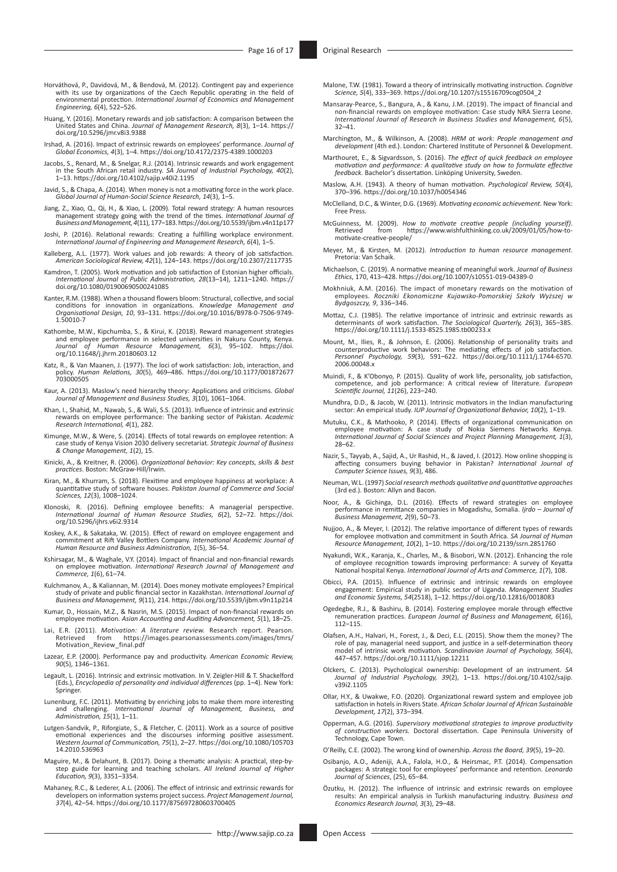- Horváthová, P., Davidová, M., & Bendová, M. (2012). Contingent pay and experience<br>with its use by organizations of the Czech Republic operating in the field of<br>environmental protection. International Journal of Economics a *Engineering, 6*(4), 522–526.
- Huang, Y. (2016). Monetary rewards and job satisfaction: A comparison between the United States and China. *Journal of Management Research, 8*(3), 1–14. [https://](https://doi.org/10.5296/jmr.v8i3.9388) [doi.org/10.5296/jmr.v8i3.9388](https://doi.org/10.5296/jmr.v8i3.9388)
- Irshad, A. (2016). Impact of extrinsic rewards on employees' performance. *Journal of Global Economics, 4*(3), 1–4. <https://doi.org/10.4172/2375-4389.1000203>
- Jacobs, S., Renard, M., & Snelgar, R.J. (2014). Intrinsic rewards and work engagement in the South African retail industry. *SA Journal of Industrial Psychology, 40*(2), 1–13.<https://doi.org/10.4102/sajip.v40i2.1195>
- Javid, S., & Chapa, A. (2014). When money is not a motivating force in the work place. *Global Journal of Human-Social Science Research, 14*(3), 1–5.
- Jiang, Z., Xiao, Q., Qi, H., & Xiao, L. (2009). Total reward strategy: A human resources<br>management strategy going with the trend of the times. International Journal of<br>Business and Management, 4(11), 177–183. https://doi.
- Joshi, P. (2016). Relational rewards: Creating a fulfilling workplace environment. *International Journal of Engineering and Management Research, 6*(4), 1–5.
- Kalleberg, A.L. (1977). Work values and job rewards: A theory of job satisfaction. *American Sociological Review, 42*(1), 124–143. <https://doi.org/10.2307/2117735>
- Kamdron, T. (2005). Work motivation and job satisfaction of Estonian higher officials.<br>//*International Journal of Public Administration, 28*(13–14), 1211–1240. [https://](https://doi.org/10.1080/01900690500241085)<br>// [doi.org/10.1080/01900690500241085](https://doi.org/10.1080/01900690500241085)
- Kanter, R.M. (1988). When a thousand flowers bloom: Structural, collective, and social conditions for innovation in organizations. *Knowledge Management and Organisational Design, 10*, 93–131. [https://doi.org/10.1016/B978-0-7506-9749-](https://doi.org/10.1016/B978-0-7506-9749-1.50010-7) [1.50010-7](https://doi.org/10.1016/B978-0-7506-9749-1.50010-7)
- Kathombe, M.W., Kipchumba, S., & Kirui, K. (2018). Reward management strategies and employee performance in selected universities in Nakuru County, Kenya. *Journal of Human Resource Management, 6*(3), 95–102. [https://doi.](https://doi.org/10.11648/j.jhrm.20180603.12) [org/10.11648/j.jhrm.20180603.12](https://doi.org/10.11648/j.jhrm.20180603.12)
- Katz, R., & Van Maanen, J. (1977). The loci of work satisfaction: Job, interaction, and policy. *Human Relations, 30*(5), 469–486. [https://doi.org/10.1177/001872677](https://doi.org/10.1177/001872677​703000505) [703000505](https://doi.org/10.1177/001872677​703000505)
- Kaur, A. (2013). Maslow's need hierarchy theory: Applications and criticisms. *Global Journal of Management and Business Studies, 3*(10), 1061–1064.
- Khan, I., Shahid, M., Nawab, S., & Wali, S.S. (2013). Influence of intrinsic and extrinsic rewards on employee performance: The banking sector of Pakistan. *Academic Research International, 4*(1), 282.
- Kimunge, M.W., & Were, S. (2014). Effects of total rewards on employee retention: A case study of Kenya Vision 2030 delivery secretariat. *Strategic Journal of Business & Change Management, 1*(2), 15.
- Kinicki, A., & Kreitner, R. (2006). *Organizational behavior: Key concepts, skills & best practices*. Boston: McGraw-Hill/Irwin.
- Kiran, M., & Khurram, S. (2018). Flexitime and employee happiness at workplace: A quantitative study of software houses. *Pakistan Journal of Commerce and Social Sciences, 12*(3), 1008–1024.
- Klonoski, R. (2016). Defining employee benefits: A managerial perspective. *International Journal of Human Resource Studies, 6*(2), 52–72. [https://doi.](https://doi.org/10.5296/ijhrs.v6i2.9314) [org/10.5296/ijhrs.v6i2.9314](https://doi.org/10.5296/ijhrs.v6i2.9314)
- Koskey, A.K., & Sakataka, W. (2015). Effect of reward on employee engagement and commitment at Rift Valley Bottlers Company. *International Academic Journal of Human Resource and Business Administration, 1*(5), 36–54.
- Kshirsagar, M., & Waghale, V.Y. (2014). Impact of financial and non-financial rewards on employee motivation. *International Research Journal of Management and Commerce, 1*(6), 61–74.
- Kulchmanov, A., & Kaliannan, M. (2014). Does money motivate employees? Empirical study of private and public financial sector in Kazakhstan. *International Journal of Business and Management, 9*(11), 214. <https://doi.org/10.5539/ijbm.v9n11p214>
- Kumar, D., Hossain, M.Z., & Nasrin, M.S. (2015). Impact of non-financial rewards on employee motivation. *Asian Accounting and Auditing Advancement, 5*(1), 18–25.
- Lai, E.R. (2011). *Motivation: A literature review.* Research report. Pearson. Retrieved from [https://images.pearsonassessments.com/images/tmrs/](https://images.pearsonassessments.com/images/tmrs/Motivation_Review_final.pdf) [Motivation\\_Review\\_final.pdf](https://images.pearsonassessments.com/images/tmrs/Motivation_Review_final.pdf)
- Lazear, E.P. (2000). Performance pay and productivity. *American Economic Review, 90*(5), 1346–1361.
- Legault, L. (2016). Intrinsic and extrinsic motivation. In V. Zeigler-Hill & T. Shackelford (Eds.), *Encyclopedia of personality and individual differences* (pp. 1–4). New York: Springer.
- Lunenburg, F.C. (2011). Motivating by enriching jobs to make them more interesting and challenging. *International Journal of Management, Business, and Administration, 15*(1), 1–11.
- Lutgen-Sandvik, P., Riforgiate, S., & Fletcher, C. (2011). Work as a source of positive emotional experiences and the discourses informing positive assessment. *Western Journal of Communication, 75*(1), 2–27. [https://doi.org/10.1080/105703](https://doi.org/10.1080/10570314.2010.536963) [14.2010.536963](https://doi.org/10.1080/10570314.2010.536963)
- Maguire, M., & Delahunt, B. (2017). Doing a thematic analysis: A practical, step-by-step guide for learning and teaching scholars. *All Ireland Journal of Higher Education, 9*(3), 3351–3354.
- Mahaney, R.C., & Lederer, A.L. (2006). The effect of intrinsic and extrinsic rewards for developers on information systems project success. *Project Management Journal, 37*(4), 42–54.<https://doi.org/10.1177/875697280603700405>
- Malone, T.W. (1981). Toward a theory of intrinsically motivating instruction. *Cognitive Science, 5*(4), 333–369. [https://doi.org/10.1207/s15516709cog0504\\_2](https://doi.org/10.1207/s15516709cog0504_2)
- Mansaray-Pearce, S., Bangura, A., & Kanu, J.M. (2019). The impact of financial and non-financial rewards on employee motivation: Case study NRA Sierra Leone. *International Journal of Research in Business Studies and Management, 6*(5),  $32 - 41$
- Marchington, M., & Wilkinson, A. (2008). *HRM at work: People management and development* (4th ed.). London: Chartered Institute of Personnel & Development.
- Marthouret, E., & Sigvardsson, S. (2016). *The effect of quick feedback on employee motivation and performance: A qualitative study on how to formulate effective feedback.* Bachelor's dissertation. Linköping University, Sweden.
- Maslow, A.H. (1943). A theory of human motivation. *Psychological Review, 50*(4), 370–396.<https://doi.org/10.1037/h0054346>
- McClelland, D.C., & Winter, D.G. (1969). *Motivating economic achievement*. New York: Free Press.
- McGuinness, M. (2009). *How to motivate creative people (including yourself)*. Retrieved from [https://www.wishfulthinking.co.uk/2009/01/05/how-to](https://www.wishfulthinking.co.uk/2009/01/05/how-to-motivate-creative-people/)[motivate-creative-people/](https://www.wishfulthinking.co.uk/2009/01/05/how-to-motivate-creative-people/)
- Meyer, M., & Kirsten, M. (2012). *Introduction to human resource management*. Pretoria: Van Schaik.
- Michaelson, C. (2019). A normative meaning of meaningful work. *Journal of Business Ethics*, 170, 413–428.<https://doi.org/10.1007/s10551-019-04389-0>
- Mokhniuk, A.M. (2016). The impact of monetary rewards on the motivation of employees. *Roczniki Ekonomiczne Kujawsko-Pomorskiej Szkoły Wyższej w Bydgoszczy, 9*, 336–346.
- Mottaz, C.J. (1985). The relative importance of intrinsic and extrinsic rewards as determinants of work satisfaction. *The Sociological Quarterly, 26*(3), 365–385. <https://doi.org/10.1111/j.1533-8525.1985.tb00233.x>
- Mount, M., Ilies, R., & Johnson, E. (2006). Relationship of personality traits and counterproductive work behaviors: The mediating effects of job satisfaction. *Personnel Psychology, 59*(3), 591–622. [https://doi.org/10.1111/j.1744-6570.](https://doi.org/10.1111/​j.1744-6570.​2006.00048.x) [2006.00048.x](https://doi.org/10.1111/​j.1744-6570.​2006.00048.x)
- Muindi, F., & K'Obonyo, P. (2015). Quality of work life, personality, job satisfaction, competence, and job performance: A critical review of literature. *European Scientific Journal, 11*(26), 223–240.
- Mundhra, D.D., & Jacob, W. (2011). Intrinsic motivators in the Indian manufacturing sector: An empirical study. *IUP Journal of Organizational Behavior, 10*(2), 1–19.
- Mutuku, C.K., & Mathooko, P. (2014). Effects of organizational communication on<br>employee motivation: A case study of Nokia Siemens Networks Kenya.<br>International Journal of Social Sciences and Project Planning Management, 1 28–62.
- Nazir, S., Tayyab, A., Sajid, A., Ur Rashid, H., & Javed, I. (2012). How online shopping is affecting consumers buying behavior in Pakistan? *International Journal of Computer Science Issues, 9*(3), 486.
- Neuman, W.L. (1997) *Social research methods qualitative and quantitative approaches* (3rd ed.). Boston: Allyn and Bacon.
- Noor, A., & Gichinga, D.L. (2016). Effects of reward strategies on employee performance in remittance companies in Mogadishu, Somalia. *Ijrdo Journal of Business Management, 2*(9), 50–73.
- Nujjoo, A., & Meyer, I. (2012). The relative importance of different types of rewards for employee motivation and commitment in South Africa. *SA Journal of Human Resource Management, 10*(2), 1–10. <https://doi.org/10.2139/ssrn.2851760>
- Nyakundi, W.K., Karanja, K., Charles, M., & Bisobori, W.N. (2012). Enhancing the role of employee recognition towards improving performance: A survey of Keyatta National hospital Kenya. *International Journal of Arts and Commerce, 1*(7), 108.
- Obicci, P.A. (2015). Influence of extrinsic and intrinsic rewards on employee engagement: Empirical study in public sector of Uganda. *Management Studies and Economic Systems, 54*(2518), 1–12. <https://doi.org/10.12816/0018083>
- Ogedegbe, R.J., & Bashiru, B. (2014). Fostering employee morale through effective remuneration practices. *European Journal of Business and Management, 6*(16), 112–115.
- Olafsen, A.H., Halvari, H., Forest, J., & Deci, E.L. (2015). Show them the money? The role of pay, managerial need support, and justice in a self‐determination theory model of intrinsic work motivation*. Scandinavian Journal of Psychology, 56*(4), 447–457.<https://doi.org/10.1111/sjop.12211>
- Olckers, C. (2013). Psychological ownership: Development of an instrument. *SA Journal of Industrial Psychology, 39*(2), 1–13. [https://doi.org/10.4102/sajip.](https://doi.org/10.4102/sajip.v39i2.1105) [v39i2.1105](https://doi.org/10.4102/sajip.v39i2.1105)
- Ollar, H.Y., & Uwakwe, F.O. (2020). Organizational reward system and employee job satisfaction in hotels in Rivers State. *African Scholar Journal of African Sustainable Development, 17*(2), 373–394.
- Opperman, A.G. (2016). *Supervisory motivational strategies to improve productivity of construction workers.* Doctoral dissertation. Cape Peninsula University of Technology, Cape Town.
- O'Reilly, C.E. (2002). The wrong kind of ownership. *Across the Board, 39*(5), 19–20.
- Osibanjo, A.O., Adeniji, A.A., Falola, H.O., & Heirsmac, P.T. (2014). Compensation packages: A strategic tool for employees' performance and retention. *Leonardo Journal of Sciences*, (25), 65–84.
- Özutku, H. (2012). The influence of intrinsic and extrinsic rewards on employee results: An empirical analysis in Turkish manufacturing industry. *Business and Economics Research Journal, 3*(3), 29–48.